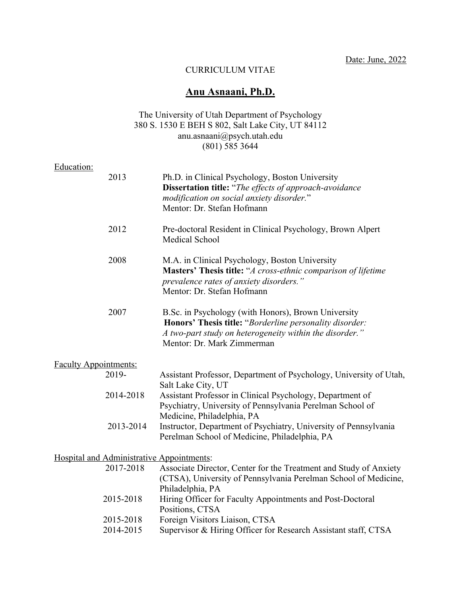Date: June, 2022

#### CURRICULUM VITAE

# **Anu Asnaani, Ph.D.**

### The University of Utah Department of Psychology 380 S. 1530 E BEH S 802, Salt Lake City, UT 84112 anu.asnaani@psych.utah.edu  $(801)$  585 3644

### Education:

| 2013                                             | Ph.D. in Clinical Psychology, Boston University<br><b>Dissertation title:</b> "The effects of approach-avoidance<br>modification on social anxiety disorder."<br>Mentor: Dr. Stefan Hofmann             |
|--------------------------------------------------|---------------------------------------------------------------------------------------------------------------------------------------------------------------------------------------------------------|
| 2012                                             | Pre-doctoral Resident in Clinical Psychology, Brown Alpert<br>Medical School                                                                                                                            |
| 2008                                             | M.A. in Clinical Psychology, Boston University<br>Masters' Thesis title: "A cross-ethnic comparison of lifetime<br>prevalence rates of anxiety disorders."<br>Mentor: Dr. Stefan Hofmann                |
| 2007                                             | B.Sc. in Psychology (with Honors), Brown University<br>Honors' Thesis title: "Borderline personality disorder:<br>A two-part study on heterogeneity within the disorder."<br>Mentor: Dr. Mark Zimmerman |
| <b>Faculty Appointments:</b>                     |                                                                                                                                                                                                         |
| 2019-                                            | Assistant Professor, Department of Psychology, University of Utah,<br>Salt Lake City, UT                                                                                                                |
| 2014-2018                                        | Assistant Professor in Clinical Psychology, Department of<br>Psychiatry, University of Pennsylvania Perelman School of<br>Medicine, Philadelphia, PA                                                    |
| 2013-2014                                        | Instructor, Department of Psychiatry, University of Pennsylvania<br>Perelman School of Medicine, Philadelphia, PA                                                                                       |
| <b>Hospital and Administrative Appointments:</b> |                                                                                                                                                                                                         |
| 2017-2018                                        | Associate Director, Center for the Treatment and Study of Anxiety<br>(CTSA), University of Pennsylvania Perelman School of Medicine,<br>Philadelphia, PA                                                |
| 2015-2018                                        | Hiring Officer for Faculty Appointments and Post-Doctoral<br>Positions, CTSA                                                                                                                            |
| 2015-2018                                        | Foreign Visitors Liaison, CTSA                                                                                                                                                                          |
| 2014-2015                                        | Supervisor & Hiring Officer for Research Assistant staff, CTSA                                                                                                                                          |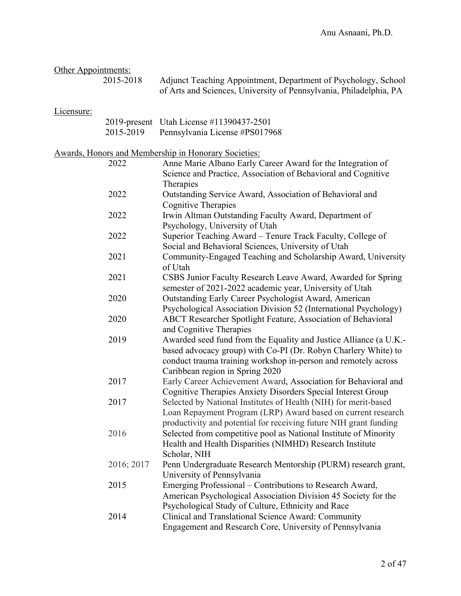| Other Appointments: |            |                                                                                                                                                                                                                                          |
|---------------------|------------|------------------------------------------------------------------------------------------------------------------------------------------------------------------------------------------------------------------------------------------|
|                     | 2015-2018  | Adjunct Teaching Appointment, Department of Psychology, School<br>of Arts and Sciences, University of Pennsylvania, Philadelphia, PA                                                                                                     |
| Licensure:          |            |                                                                                                                                                                                                                                          |
|                     |            | 2019-present Utah License #11390437-2501                                                                                                                                                                                                 |
|                     | 2015-2019  | Pennsylvania License #PS017968                                                                                                                                                                                                           |
|                     |            | <b>Awards, Honors and Membership in Honorary Societies:</b>                                                                                                                                                                              |
|                     | 2022       | Anne Marie Albano Early Career Award for the Integration of                                                                                                                                                                              |
|                     |            | Science and Practice, Association of Behavioral and Cognitive<br>Therapies                                                                                                                                                               |
|                     | 2022       | Outstanding Service Award, Association of Behavioral and<br>Cognitive Therapies                                                                                                                                                          |
|                     | 2022       | Irwin Altman Outstanding Faculty Award, Department of<br>Psychology, University of Utah                                                                                                                                                  |
|                     | 2022       | Superior Teaching Award - Tenure Track Faculty, College of                                                                                                                                                                               |
|                     |            | Social and Behavioral Sciences, University of Utah                                                                                                                                                                                       |
|                     | 2021       | Community-Engaged Teaching and Scholarship Award, University<br>of Utah                                                                                                                                                                  |
|                     | 2021       | CSBS Junior Faculty Research Leave Award, Awarded for Spring<br>semester of 2021-2022 academic year, University of Utah                                                                                                                  |
|                     | 2020       | Outstanding Early Career Psychologist Award, American<br>Psychological Association Division 52 (International Psychology)                                                                                                                |
|                     | 2020       | ABCT Researcher Spotlight Feature, Association of Behavioral<br>and Cognitive Therapies                                                                                                                                                  |
|                     | 2019       | Awarded seed fund from the Equality and Justice Alliance (a U.K.-<br>based advocacy group) with Co-PI (Dr. Robyn Charlery White) to<br>conduct trauma training workshop in-person and remotely across<br>Caribbean region in Spring 2020 |
|                     | 2017       | Early Career Achievement Award, Association for Behavioral and<br>Cognitive Therapies Anxiety Disorders Special Interest Group                                                                                                           |
|                     | 2017       | Selected by National Institutes of Health (NIH) for merit-based<br>Loan Repayment Program (LRP) Award based on current research<br>productivity and potential for receiving future NIH grant funding                                     |
|                     | 2016       | Selected from competitive pool as National Institute of Minority<br>Health and Health Disparities (NIMHD) Research Institute<br>Scholar, NIH                                                                                             |
|                     | 2016; 2017 | Penn Undergraduate Research Mentorship (PURM) research grant,<br>University of Pennsylvania                                                                                                                                              |
|                     | 2015       | Emerging Professional – Contributions to Research Award,<br>American Psychological Association Division 45 Society for the                                                                                                               |
|                     | 2014       | Psychological Study of Culture, Ethnicity and Race<br>Clinical and Translational Science Award: Community<br>Engagement and Research Core, University of Pennsylvania                                                                    |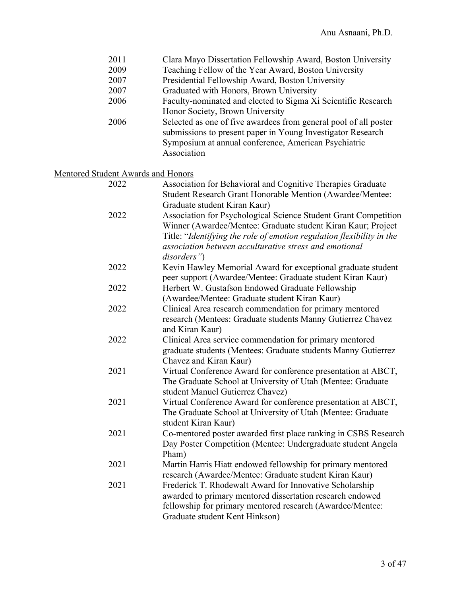| 2011                                      | Clara Mayo Dissertation Fellowship Award, Boston University           |
|-------------------------------------------|-----------------------------------------------------------------------|
| 2009                                      | Teaching Fellow of the Year Award, Boston University                  |
| 2007                                      | Presidential Fellowship Award, Boston University                      |
| 2007                                      | Graduated with Honors, Brown University                               |
| 2006                                      | Faculty-nominated and elected to Sigma Xi Scientific Research         |
|                                           | Honor Society, Brown University                                       |
| 2006                                      | Selected as one of five awardees from general pool of all poster      |
|                                           | submissions to present paper in Young Investigator Research           |
|                                           | Symposium at annual conference, American Psychiatric                  |
|                                           | Association                                                           |
| <b>Mentored Student Awards and Honors</b> |                                                                       |
| 2022                                      | Association for Behavioral and Cognitive Therapies Graduate           |
|                                           | Student Research Grant Honorable Mention (Awardee/Mentee:             |
|                                           | Graduate student Kiran Kaur)                                          |
| 2022                                      | Association for Psychological Science Student Grant Competition       |
|                                           | Winner (Awardee/Mentee: Graduate student Kiran Kaur; Project          |
|                                           | Title: "Identifying the role of emotion regulation flexibility in the |
|                                           | association between acculturative stress and emotional                |
|                                           | disorders")                                                           |
| 2022                                      | Kevin Hawley Memorial Award for exceptional graduate student          |
|                                           | peer support (Awardee/Mentee: Graduate student Kiran Kaur)            |
| 2022                                      | Herbert W. Gustafson Endowed Graduate Fellowship                      |
|                                           | (Awardee/Mentee: Graduate student Kiran Kaur)                         |
| 2022                                      | Clinical Area research commendation for primary mentored              |
|                                           | research (Mentees: Graduate students Manny Gutierrez Chavez           |
|                                           | and Kiran Kaur)                                                       |
| 2022                                      | Clinical Area service commendation for primary mentored               |
|                                           | graduate students (Mentees: Graduate students Manny Gutierrez         |
|                                           | Chavez and Kiran Kaur)                                                |
| 2021                                      | Virtual Conference Award for conference presentation at ABCT,         |
|                                           |                                                                       |
|                                           | The Graduate School at University of Utah (Mentee: Graduate           |
|                                           | student Manuel Gutierrez Chavez)                                      |
| 2021                                      | Virtual Conference Award for conference presentation at ABCT,         |
|                                           | The Graduate School at University of Utah (Mentee: Graduate           |
|                                           | student Kiran Kaur)                                                   |
| 2021                                      | Co-mentored poster awarded first place ranking in CSBS Research       |
|                                           | Day Poster Competition (Mentee: Undergraduate student Angela          |
|                                           | Pham)                                                                 |
| 2021                                      | Martin Harris Hiatt endowed fellowship for primary mentored           |
|                                           | research (Awardee/Mentee: Graduate student Kiran Kaur)                |
| 2021                                      | Frederick T. Rhodewalt Award for Innovative Scholarship               |
|                                           | awarded to primary mentored dissertation research endowed             |
|                                           | fellowship for primary mentored research (Awardee/Mentee:             |
|                                           | Graduate student Kent Hinkson)                                        |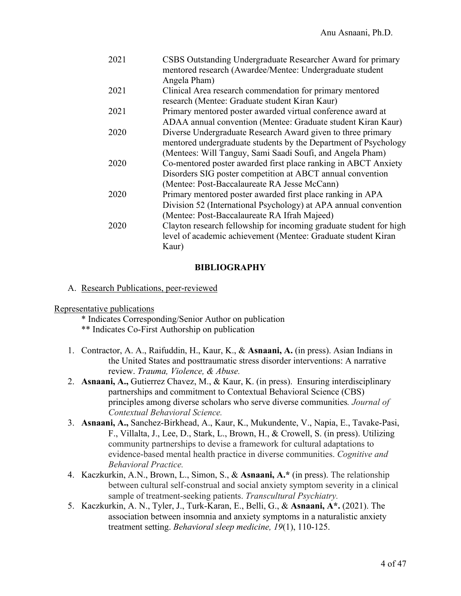| 2021 | CSBS Outstanding Undergraduate Researcher Award for primary<br>mentored research (Awardee/Mentee: Undergraduate student |
|------|-------------------------------------------------------------------------------------------------------------------------|
|      | Angela Pham)                                                                                                            |
| 2021 | Clinical Area research commendation for primary mentored                                                                |
|      | research (Mentee: Graduate student Kiran Kaur)                                                                          |
| 2021 | Primary mentored poster awarded virtual conference award at                                                             |
|      | ADAA annual convention (Mentee: Graduate student Kiran Kaur)                                                            |
| 2020 | Diverse Undergraduate Research Award given to three primary                                                             |
|      | mentored undergraduate students by the Department of Psychology                                                         |
|      | (Mentees: Will Tanguy, Sami Saadi Soufi, and Angela Pham)                                                               |
| 2020 | Co-mentored poster awarded first place ranking in ABCT Anxiety                                                          |
|      | Disorders SIG poster competition at ABCT annual convention                                                              |
|      | (Mentee: Post-Baccalaureate RA Jesse McCann)                                                                            |
| 2020 | Primary mentored poster awarded first place ranking in APA                                                              |
|      | Division 52 (International Psychology) at APA annual convention                                                         |
|      | (Mentee: Post-Baccalaureate RA Ifrah Majeed)                                                                            |
| 2020 | Clayton research fellowship for incoming graduate student for high                                                      |
|      | level of academic achievement (Mentee: Graduate student Kiran                                                           |
|      | Kaur)                                                                                                                   |
|      |                                                                                                                         |

### **BIBLIOGRAPHY**

#### A. Research Publications, peer-reviewed

#### Representative publications

- \* Indicates Corresponding/Senior Author on publication
- \*\* Indicates Co-First Authorship on publication
- 1. Contractor, A. A., Raifuddin, H., Kaur, K., & **Asnaani, A.** (in press). Asian Indians in the United States and posttraumatic stress disorder interventions: A narrative review. *Trauma, Violence, & Abuse.*
- 2. **Asnaani, A.,** Gutierrez Chavez, M., & Kaur, K. (in press). Ensuring interdisciplinary partnerships and commitment to Contextual Behavioral Science (CBS) principles among diverse scholars who serve diverse communities*. Journal of Contextual Behavioral Science.*
- 3. **Asnaani, A.,** Sanchez-Birkhead, A., Kaur, K., Mukundente, V., Napia, E., Tavake-Pasi, F., Villalta, J., Lee, D., Stark, L., Brown, H., & Crowell, S. (in press). Utilizing community partnerships to devise a framework for cultural adaptations to evidence-based mental health practice in diverse communities. *Cognitive and Behavioral Practice.*
- 4. Kaczkurkin, A.N., Brown, L., Simon, S., & **Asnaani, A.\*** (in press). The relationship between cultural self-construal and social anxiety symptom severity in a clinical sample of treatment-seeking patients. *Transcultural Psychiatry.*
- 5. Kaczkurkin, A. N., Tyler, J., Turk-Karan, E., Belli, G., & **Asnaani, A\*.** (2021). The association between insomnia and anxiety symptoms in a naturalistic anxiety treatment setting. *Behavioral sleep medicine, 19*(1), 110-125.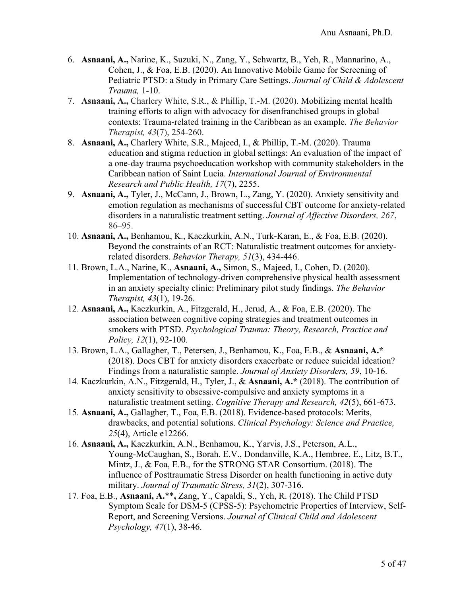- 6. **Asnaani, A.,** Narine, K., Suzuki, N., Zang, Y., Schwartz, B., Yeh, R., Mannarino, A., Cohen, J., & Foa, E.B. (2020). An Innovative Mobile Game for Screening of Pediatric PTSD: a Study in Primary Care Settings. *Journal of Child & Adolescent Trauma,* 1-10.
- 7. **Asnaani, A.,** Charlery White, S.R., & Phillip, T.-M. (2020). Mobilizing mental health training efforts to align with advocacy for disenfranchised groups in global contexts: Trauma-related training in the Caribbean as an example. *The Behavior Therapist, 43*(7), 254-260.
- 8. **Asnaani, A.,** Charlery White, S.R., Majeed, I., & Phillip, T.-M. (2020). Trauma education and stigma reduction in global settings: An evaluation of the impact of a one-day trauma psychoeducation workshop with community stakeholders in the Caribbean nation of Saint Lucia. *International Journal of Environmental Research and Public Health, 17*(7), 2255.
- 9. **Asnaani, A.,** Tyler, J., McCann, J., Brown, L., Zang, Y. (2020). Anxiety sensitivity and emotion regulation as mechanisms of successful CBT outcome for anxiety-related disorders in a naturalistic treatment setting. *Journal of Affective Disorders, 267*, 86–95.
- 10. **Asnaani, A.,** Benhamou, K., Kaczkurkin, A.N., Turk-Karan, E., & Foa, E.B. (2020). Beyond the constraints of an RCT: Naturalistic treatment outcomes for anxietyrelated disorders. *Behavior Therapy, 51*(3), 434-446.
- 11. Brown, L.A., Narine, K., **Asnaani, A.,** Simon, S., Majeed, I., Cohen, D. (2020). Implementation of technology-driven comprehensive physical health assessment in an anxiety specialty clinic: Preliminary pilot study findings. *The Behavior Therapist, 43*(1), 19-26.
- 12. **Asnaani, A.,** Kaczkurkin, A., Fitzgerald, H., Jerud, A., & Foa, E.B. (2020). The association between cognitive coping strategies and treatment outcomes in smokers with PTSD. *Psychological Trauma: Theory, Research, Practice and Policy, 12*(1), 92-100.
- 13. Brown, L.A., Gallagher, T., Petersen, J., Benhamou, K., Foa, E.B., & **Asnaani, A.\***  (2018). Does CBT for anxiety disorders exacerbate or reduce suicidal ideation? Findings from a naturalistic sample. *Journal of Anxiety Disorders, 59*, 10-16.
- 14. Kaczkurkin, A.N., Fitzgerald, H., Tyler, J., & **Asnaani, A.\*** (2018). The contribution of anxiety sensitivity to obsessive-compulsive and anxiety symptoms in a naturalistic treatment setting. *Cognitive Therapy and Research, 42*(5), 661-673.
- 15. **Asnaani, A.,** Gallagher, T., Foa, E.B. (2018). Evidence-based protocols: Merits, drawbacks, and potential solutions. *Clinical Psychology: Science and Practice, 25*(4), Article e12266.
- 16. **Asnaani, A.,** Kaczkurkin, A.N., Benhamou, K., Yarvis, J.S., Peterson, A.L., Young-McCaughan, S., Borah. E.V., Dondanville, K.A., Hembree, E., Litz, B.T., Mintz, J., & Foa, E.B., for the STRONG STAR Consortium. (2018). The influence of Posttraumatic Stress Disorder on health functioning in active duty military. *Journal of Traumatic Stress, 31*(2), 307-316.
- 17. Foa, E.B., **Asnaani, A.**\*\***,** Zang, Y., Capaldi, S., Yeh, R. (2018). The Child PTSD Symptom Scale for DSM-5 (CPSS-5): Psychometric Properties of Interview, Self-Report, and Screening Versions. *Journal of Clinical Child and Adolescent Psychology, 47*(1), 38-46.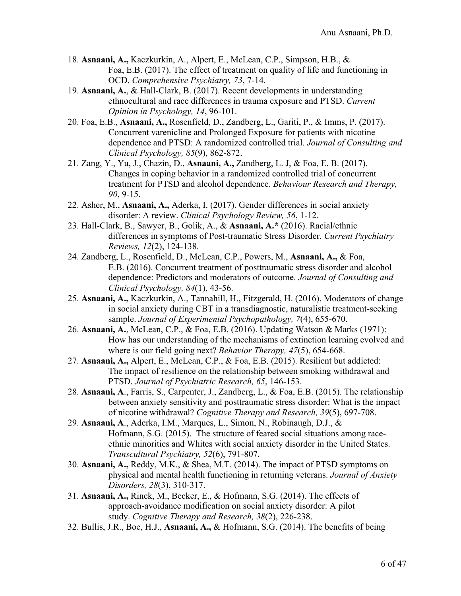- 18. **Asnaani, A.,** Kaczkurkin, A., Alpert, E., McLean, C.P., Simpson, H.B., & Foa, E.B. (2017). The effect of treatment on quality of life and functioning in OCD. *Comprehensive Psychiatry, 73*, 7-14.
- 19. **Asnaani, A.**, & Hall-Clark, B. (2017). Recent developments in understanding ethnocultural and race differences in trauma exposure and PTSD. *Current Opinion in Psychology, 14*, 96-101.
- 20. Foa, E.B., **Asnaani, A.,** Rosenfield, D., Zandberg, L., Gariti, P., & Imms, P. (2017). Concurrent varenicline and Prolonged Exposure for patients with nicotine dependence and PTSD: A randomized controlled trial. *Journal of Consulting and Clinical Psychology, 85*(9), 862-872.
- 21. Zang, Y., Yu, J., Chazin, D., **Asnaani, A.,** Zandberg, L. J, & Foa, E. B. (2017). Changes in coping behavior in a randomized controlled trial of concurrent treatment for PTSD and alcohol dependence. *Behaviour Research and Therapy, 90*, 9-15.
- 22. Asher, M., **Asnaani, A.,** Aderka, I. (2017). Gender differences in social anxiety disorder: A review. *Clinical Psychology Review, 56*, 1-12.
- 23. Hall-Clark, B., Sawyer, B., Golik, A., & **Asnaani, A.\*** (2016). Racial/ethnic differences in symptoms of Post-traumatic Stress Disorder. *Current Psychiatry Reviews, 12*(2), 124-138.
- 24. Zandberg, L., Rosenfield, D., McLean, C.P., Powers, M., **Asnaani, A.,** & Foa, E.B. (2016). Concurrent treatment of posttraumatic stress disorder and alcohol dependence: Predictors and moderators of outcome. *Journal of Consulting and Clinical Psychology, 84*(1), 43-56.
- 25. **Asnaani, A.,** Kaczkurkin, A., Tannahill, H., Fitzgerald, H. (2016). Moderators of change in social anxiety during CBT in a transdiagnostic, naturalistic treatment-seeking sample. *Journal of Experimental Psychopathology, 7*(4), 655-670.
- 26. **Asnaani, A.**, McLean, C.P., & Foa, E.B. (2016). Updating Watson & Marks (1971): How has our understanding of the mechanisms of extinction learning evolved and where is our field going next? *Behavior Therapy, 47*(5), 654-668.
- 27. **Asnaani, A.,** Alpert, E., McLean, C.P., & Foa, E.B. (2015). Resilient but addicted: The impact of resilience on the relationship between smoking withdrawal and PTSD. *Journal of Psychiatric Research, 65*, 146-153.
- 28. **Asnaani, A**., Farris, S., Carpenter, J., Zandberg, L., & Foa, E.B. (2015). The relationship between anxiety sensitivity and posttraumatic stress disorder: What is the impact of nicotine withdrawal? *Cognitive Therapy and Research, 39*(5), 697-708.
- 29. **Asnaani, A**., Aderka, I.M., Marques, L., Simon, N., Robinaugh, D.J., & Hofmann, S.G. (2015). The structure of feared social situations among raceethnic minorities and Whites with social anxiety disorder in the United States. *Transcultural Psychiatry, 52*(6), 791-807.
- 30. **Asnaani, A.,** Reddy, M.K., & Shea, M.T. (2014). The impact of PTSD symptoms on physical and mental health functioning in returning veterans. *Journal of Anxiety Disorders, 28*(3), 310-317.
- 31. **Asnaani, A.,** Rinck, M., Becker, E., & Hofmann, S.G. (2014). The effects of approach-avoidance modification on social anxiety disorder: A pilot study. *Cognitive Therapy and Research, 38*(2), 226-238.
- 32. Bullis, J.R., Boe, H.J., **Asnaani, A.,** & Hofmann, S.G. (2014). The benefits of being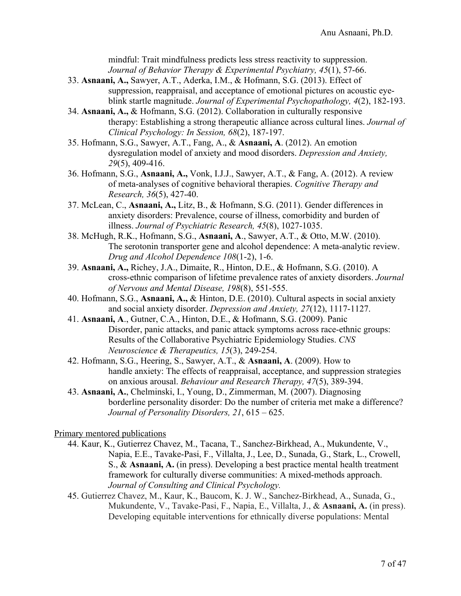mindful: Trait mindfulness predicts less stress reactivity to suppression. *Journal of Behavior Therapy & Experimental Psychiatry, 45*(1), 57-66.

- 33. **Asnaani, A.,** Sawyer, A.T., Aderka, I.M., & Hofmann, S.G. (2013). Effect of suppression, reappraisal, and acceptance of emotional pictures on acoustic eyeblink startle magnitude. *Journal of Experimental Psychopathology, 4*(2), 182-193.
- 34. **Asnaani, A.,** & Hofmann, S.G. (2012). Collaboration in culturally responsive therapy: Establishing a strong therapeutic alliance across cultural lines. *Journal of Clinical Psychology: In Session, 68*(2), 187-197.
- 35. Hofmann, S.G., Sawyer, A.T., Fang, A., & **Asnaani, A**. (2012). An emotion dysregulation model of anxiety and mood disorders. *Depression and Anxiety, 29*(5), 409-416.
- 36. Hofmann, S.G., **Asnaani, A.,** Vonk, I.J.J., Sawyer, A.T., & Fang, A. (2012). A review of meta-analyses of cognitive behavioral therapies. *Cognitive Therapy and Research, 36*(5), 427-40.
- 37. McLean, C., **Asnaani, A.,** Litz, B., & Hofmann, S.G. (2011). Gender differences in anxiety disorders: Prevalence, course of illness, comorbidity and burden of illness. *Journal of Psychiatric Research, 45*(8), 1027-1035.
- 38. McHugh, R.K., Hofmann, S.G., **Asnaani, A**., Sawyer, A.T., & Otto, M.W. (2010). The serotonin transporter gene and alcohol dependence: A meta-analytic review. *Drug and Alcohol Dependence 108*(1-2), 1-6.
- 39. **Asnaani, A.,** Richey, J.A., Dimaite, R., Hinton, D.E., & Hofmann, S.G. (2010). A cross-ethnic comparison of lifetime prevalence rates of anxiety disorders. *Journal of Nervous and Mental Disease, 198*(8), 551-555.
- 40. Hofmann, S.G., **Asnaani, A.,** & Hinton, D.E. (2010). Cultural aspects in social anxiety and social anxiety disorder. *Depression and Anxiety, 27*(12), 1117-1127.
- 41. **Asnaani, A**., Gutner, C.A., Hinton, D.E., & Hofmann, S.G. (2009). Panic Disorder, panic attacks, and panic attack symptoms across race-ethnic groups: Results of the Collaborative Psychiatric Epidemiology Studies. *CNS Neuroscience & Therapeutics, 15*(3), 249-254.
- 42. Hofmann, S.G., Heering, S., Sawyer, A.T., & **Asnaani, A**. (2009). How to handle anxiety: The effects of reappraisal, acceptance, and suppression strategies on anxious arousal. *Behaviour and Research Therapy, 47*(5), 389-394.
- 43. **Asnaani, A.**, Chelminski, I., Young, D., Zimmerman, M. (2007). Diagnosing borderline personality disorder: Do the number of criteria met make a difference? *Journal of Personality Disorders, 21*, 615 – 625.

#### Primary mentored publications

- 44. Kaur, K., Gutierrez Chavez, M., Tacana, T., Sanchez-Birkhead, A., Mukundente, V., Napia, E.E., Tavake-Pasi, F., Villalta, J., Lee, D., Sunada, G., Stark, L., Crowell, S., & **Asnaani, A.** (in press). Developing a best practice mental health treatment framework for culturally diverse communities: A mixed-methods approach. *Journal of Consulting and Clinical Psychology.*
- 45. Gutierrez Chavez, M., Kaur, K., Baucom, K. J. W., Sanchez-Birkhead, A., Sunada, G., Mukundente, V., Tavake-Pasi, F., Napia, E., Villalta, J., & **Asnaani, A.** (in press). Developing equitable interventions for ethnically diverse populations: Mental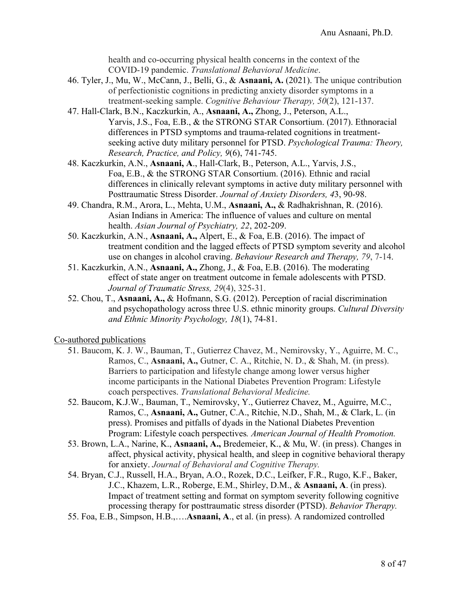health and co-occurring physical health concerns in the context of the COVID-19 pandemic. *Translational Behavioral Medicine*.

- 46. Tyler, J., Mu, W., McCann, J., Belli, G., & **Asnaani, A.** (2021). The unique contribution of perfectionistic cognitions in predicting anxiety disorder symptoms in a treatment-seeking sample. *Cognitive Behaviour Therapy, 50*(2), 121-137.
- 47. Hall-Clark, B.N., Kaczkurkin, A., **Asnaani, A.,** Zhong, J., Peterson, A.L., Yarvis, J.S., Foa, E.B., & the STRONG STAR Consortium. (2017). Ethnoracial differences in PTSD symptoms and trauma-related cognitions in treatmentseeking active duty military personnel for PTSD. *Psychological Trauma: Theory, Research, Practice, and Policy, 9*(6), 741-745.
- 48. Kaczkurkin, A.N., **Asnaani, A**., Hall-Clark, B., Peterson, A.L., Yarvis, J.S., Foa, E.B., & the STRONG STAR Consortium. (2016). Ethnic and racial differences in clinically relevant symptoms in active duty military personnel with Posttraumatic Stress Disorder. *Journal of Anxiety Disorders, 4*3, 90-98.
- 49. Chandra, R.M., Arora, L., Mehta, U.M., **Asnaani, A.,** & Radhakrishnan, R. (2016). Asian Indians in America: The influence of values and culture on mental health. *Asian Journal of Psychiatry, 22*, 202-209.
- 50. Kaczkurkin, A.N., **Asnaani, A.,** Alpert, E., & Foa, E.B. (2016). The impact of treatment condition and the lagged effects of PTSD symptom severity and alcohol use on changes in alcohol craving. *Behaviour Research and Therapy, 79*, 7-14.
- 51. Kaczkurkin, A.N., **Asnaani, A.,** Zhong, J., & Foa, E.B. (2016). The moderating effect of state anger on treatment outcome in female adolescents with PTSD. *Journal of Traumatic Stress, 29*(4), 325-31.
- 52. Chou, T., **Asnaani, A.,** & Hofmann, S.G. (2012). Perception of racial discrimination and psychopathology across three U.S. ethnic minority groups. *Cultural Diversity and Ethnic Minority Psychology, 18*(1), 74-81.

#### Co-authored publications

- 51. Baucom, K. J. W., Bauman, T., Gutierrez Chavez, M., Nemirovsky, Y., Aguirre, M. C., Ramos, C., **Asnaani, A.,** Gutner, C. A., Ritchie, N. D., & Shah, M. (in press). Barriers to participation and lifestyle change among lower versus higher income participants in the National Diabetes Prevention Program: Lifestyle coach perspectives. *Translational Behavioral Medicine.*
- 52. Baucom, K.J.W., Bauman, T., Nemirovsky, Y., Gutierrez Chavez, M., Aguirre, M.C., Ramos, C., **Asnaani, A.,** Gutner, C.A., Ritchie, N.D., Shah, M., & Clark, L. (in press). Promises and pitfalls of dyads in the National Diabetes Prevention Program: Lifestyle coach perspectives*. American Journal of Health Promotion.*
- 53. Brown, L.A., Narine, K., **Asnaani, A.,** Bredemeier, K., & Mu, W. (in press). Changes in affect, physical activity, physical health, and sleep in cognitive behavioral therapy for anxiety. *Journal of Behavioral and Cognitive Therapy.*
- 54. Bryan, C.J., Russell, H.A., Bryan, A.O., Rozek, D.C., Leifker, F.R., Rugo, K.F., Baker, J.C., Khazem, L.R., Roberge, E.M., Shirley, D.M., & **Asnaani, A**. (in press). Impact of treatment setting and format on symptom severity following cognitive processing therapy for posttraumatic stress disorder (PTSD). *Behavior Therapy.*
- 55. Foa, E.B., Simpson, H.B.,….**Asnaani, A**., et al. (in press). A randomized controlled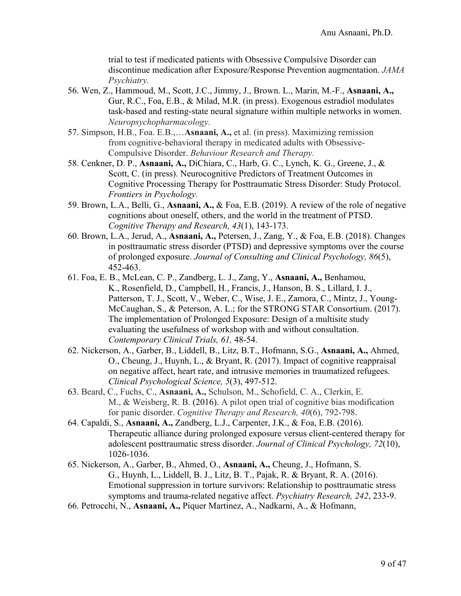trial to test if medicated patients with Obsessive Compulsive Disorder can discontinue medication after Exposure/Response Prevention augmentation. *JAMA Psychiatry.*

- 56. Wen, Z., Hammoud, M., Scott, J.C., Jimmy, J., Brown. L., Marin, M.-F., **Asnaani, A.,** Gur, R.C., Foa, E.B., & Milad, M.R. (in press). Exogenous estradiol modulates task-based and resting-state neural signature within multiple networks in women. *Neuropsychopharmacology.*
- 57. Simpson, H.B., Foa. E.B.,…**Asnaani, A.,** et al. (in press). Maximizing remission from cognitive-behavioral therapy in medicated adults with Obsessive-Compulsive Disorder. *Behaviour Research and Therapy.*
- 58. Cenkner, D. P., **Asnaani, A.,** DiChiara, C., Harb, G. C., Lynch, K. G., Greene, J., & Scott, C. (in press). Neurocognitive Predictors of Treatment Outcomes in Cognitive Processing Therapy for Posttraumatic Stress Disorder: Study Protocol. *Frontiers in Psychology.*
- 59. Brown, L.A., Belli, G., **Asnaani, A.,** & Foa, E.B. (2019). A review of the role of negative cognitions about oneself, others, and the world in the treatment of PTSD. *Cognitive Therapy and Research, 43*(1), 143-173.
- 60. Brown, L.A., Jerud, A., **Asnaani, A.,** Petersen, J., Zang, Y., & Foa, E.B. (2018). Changes in posttraumatic stress disorder (PTSD) and depressive symptoms over the course of prolonged exposure. *Journal of Consulting and Clinical Psychology, 86*(5), 452-463.
- 61. Foa, E. B., McLean, C. P., Zandberg, L. J., Zang, Y., **Asnaani, A.,** Benhamou, K., Rosenfield, D., Campbell, H., Francis, J., Hanson, B. S., Lillard, I. J., Patterson, T. J., Scott, V., Weber, C., Wise, J. E., Zamora, C., Mintz, J., Young-McCaughan, S., & Peterson, A. L.; for the STRONG STAR Consortium. (2017). The implementation of Prolonged Exposure: Design of a multisite study evaluating the usefulness of workshop with and without consultation. *Contemporary Clinical Trials, 61,* 48-54.
- 62. Nickerson, A., Garber, B., Liddell, B., Litz, B.T., Hofmann, S.G., **Asnaani, A.,** Ahmed, O., Cheung, J., Huynh, L., & Bryant, R. (2017). Impact of cognitive reappraisal on negative affect, heart rate, and intrusive memories in traumatized refugees. *Clinical Psychological Science, 5*(3), 497-512.
- 63. Beard, C., Fuchs, C., **Asnaani, A.,** Schulson, M., Schofield, C. A., Clerkin, E. M., & Weisberg, R. B. (2016). A pilot open trial of cognitive bias modification for panic disorder. *Cognitive Therapy and Research, 40*(6), 792-798.
- 64. Capaldi, S., **Asnaani, A.,** Zandberg, L.J., Carpenter, J.K., & Foa, E.B. (2016). Therapeutic alliance during prolonged exposure versus client-centered therapy for adolescent posttraumatic stress disorder. *Journal of Clinical Psychology, 72*(10), 1026-1036.
- 65. Nickerson, A., Garber, B., Ahmed, O., **Asnaani, A.,** Cheung, J., Hofmann, S. G., Huynh, L., Liddell, B. J., Litz, B. T., Pajak, R. & Bryant, R. A. (2016). Emotional suppression in torture survivors: Relationship to posttraumatic stress symptoms and trauma-related negative affect. *Psychiatry Research, 242*, 233-9.
- 66. Petrocchi, N., **Asnaani, A.,** Piquer Martinez, A., Nadkarni, A., & Hofmann,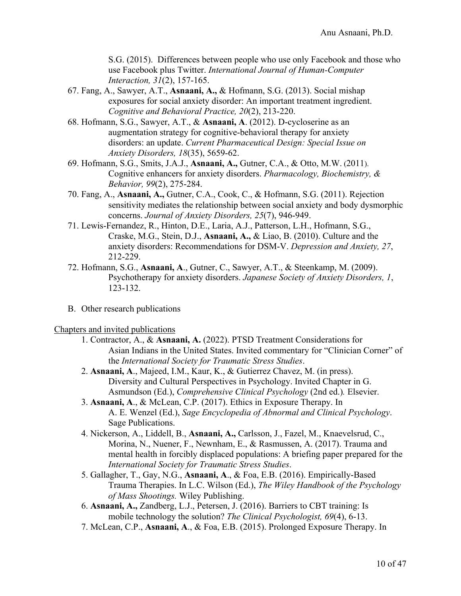S.G. (2015). Differences between people who use only Facebook and those who use Facebook plus Twitter. *International Journal of Human-Computer Interaction, 31*(2), 157-165.

- 67. Fang, A., Sawyer, A.T., **Asnaani, A.,** & Hofmann, S.G. (2013). Social mishap exposures for social anxiety disorder: An important treatment ingredient. *Cognitive and Behavioral Practice, 20*(2), 213-220.
- 68. Hofmann, S.G., Sawyer, A.T., & **Asnaani, A**. (2012). D-cycloserine as an augmentation strategy for cognitive-behavioral therapy for anxiety disorders: an update. *Current Pharmaceutical Design: Special Issue on Anxiety Disorders, 18*(35), 5659-62.
- 69. Hofmann, S.G., Smits, J.A.J., **Asnaani, A.,** Gutner, C.A., & Otto, M.W. (2011). Cognitive enhancers for anxiety disorders. *Pharmacology, Biochemistry, & Behavior, 99*(2), 275-284.
- 70. Fang, A., **Asnaani, A.,** Gutner, C.A., Cook, C., & Hofmann, S.G. (2011). Rejection sensitivity mediates the relationship between social anxiety and body dysmorphic concerns. *Journal of Anxiety Disorders, 25*(7), 946-949.
- 71. Lewis-Fernandez, R., Hinton, D.E., Laria, A.J., Patterson, L.H., Hofmann, S.G., Craske, M.G., Stein, D.J., **Asnaani, A.,** & Liao, B. (2010). Culture and the anxiety disorders: Recommendations for DSM-V. *Depression and Anxiety, 27*, 212-229.
- 72. Hofmann, S.G., **Asnaani, A**., Gutner, C., Sawyer, A.T., & Steenkamp, M. (2009). Psychotherapy for anxiety disorders. *Japanese Society of Anxiety Disorders, 1*, 123-132.
- B. Other research publications

#### Chapters and invited publications

- 1. Contractor, A., & **Asnaani, A.** (2022). PTSD Treatment Considerations for Asian Indians in the United States. Invited commentary for "Clinician Corner" of the *International Society for Traumatic Stress Studies*.
- 2. **Asnaani, A**., Majeed, I.M., Kaur, K., & Gutierrez Chavez, M. (in press). Diversity and Cultural Perspectives in Psychology. Invited Chapter in G. Asmundson (Ed.), *Comprehensive Clinical Psychology* (2nd ed.)*.* Elsevier.
- 3. **Asnaani, A**., & McLean, C.P. (2017). Ethics in Exposure Therapy. In A. E. Wenzel (Ed.), *Sage Encyclopedia of Abnormal and Clinical Psychology*. Sage Publications.
- 4. Nickerson, A., Liddell, B., **Asnaani, A.,** Carlsson, J., Fazel, M., Knaevelsrud, C., Morina, N., Nuener, F., Newnham, E., & Rasmussen, A. (2017). Trauma and mental health in forcibly displaced populations: A briefing paper prepared for the *International Society for Traumatic Stress Studies*.
- 5. Gallagher, T., Gay, N.G., **Asnaani, A**., & Foa, E.B. (2016). Empirically-Based Trauma Therapies. In L.C. Wilson (Ed.), *The Wiley Handbook of the Psychology of Mass Shootings.* Wiley Publishing.
- 6. **Asnaani, A.,** Zandberg, L.J., Petersen, J. (2016). Barriers to CBT training: Is mobile technology the solution? *The Clinical Psychologist, 69*(4), 6-13.
- 7. McLean, C.P., **Asnaani, A**., & Foa, E.B. (2015). Prolonged Exposure Therapy. In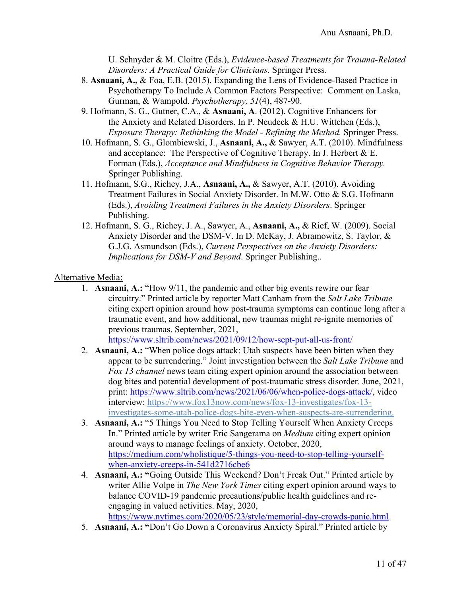U. Schnyder & M. Cloitre (Eds.), *Evidence-based Treatments for Trauma-Related Disorders: A Practical Guide for Clinicians.* Springer Press.

- 8. **Asnaani, A.,** & Foa, E.B. (2015). Expanding the Lens of Evidence-Based Practice in Psychotherapy To Include A Common Factors Perspective: Comment on Laska, Gurman, & Wampold. *Psychotherapy, 51*(4), 487-90.
- 9. Hofmann, S. G., Gutner, C.A., & **Asnaani, A**. (2012). Cognitive Enhancers for the Anxiety and Related Disorders. In P. Neudeck & H.U. Wittchen (Eds.), *Exposure Therapy: Rethinking the Model - Refining the Method.* Springer Press.
- 10. Hofmann, S. G., Glombiewski, J., **Asnaani, A.,** & Sawyer, A.T. (2010). Mindfulness and acceptance: The Perspective of Cognitive Therapy. In J. Herbert & E. Forman (Eds.), *Acceptance and Mindfulness in Cognitive Behavior Therapy.* Springer Publishing.
- 11. Hofmann, S.G., Richey, J.A., **Asnaani, A.,** & Sawyer, A.T. (2010). Avoiding Treatment Failures in Social Anxiety Disorder. In M.W. Otto & S.G. Hofmann (Eds.), *Avoiding Treatment Failures in the Anxiety Disorders*. Springer Publishing.
- 12. Hofmann, S. G., Richey, J. A., Sawyer, A., **Asnaani, A.,** & Rief, W. (2009). Social Anxiety Disorder and the DSM-V. In D. McKay, J. Abramowitz, S. Taylor, & G.J.G. Asmundson (Eds.), *Current Perspectives on the Anxiety Disorders: Implications for DSM-V and Beyond*. Springer Publishing..

#### Alternative Media:

1. **Asnaani, A.:** "How 9/11, the pandemic and other big events rewire our fear circuitry." Printed article by reporter Matt Canham from the *Salt Lake Tribune* citing expert opinion around how post-trauma symptoms can continue long after a traumatic event, and how additional, new traumas might re-ignite memories of previous traumas. September, 2021,

https://www.sltrib.com/news/2021/09/12/how-sept-put-all-us-front/

- 2. **Asnaani, A.:** "When police dogs attack: Utah suspects have been bitten when they appear to be surrendering." Joint investigation between the *Salt Lake Tribune* and *Fox 13 channel* news team citing expert opinion around the association between dog bites and potential development of post-traumatic stress disorder. June, 2021, print: https://www.sltrib.com/news/2021/06/06/when-police-dogs-attack/, video interview: https://www.fox13now.com/news/fox-13-investigates/fox-13 investigates-some-utah-police-dogs-bite-even-when-suspects-are-surrendering.
- 3. **Asnaani, A.:** "5 Things You Need to Stop Telling Yourself When Anxiety Creeps In." Printed article by writer Eric Sangerama on *Medium* citing expert opinion around ways to manage feelings of anxiety. October, 2020, https://medium.com/wholistique/5-things-you-need-to-stop-telling-yourselfwhen-anxiety-creeps-in-541d2716cbe6
- 4. **Asnaani, A.: "**Going Outside This Weekend? Don't Freak Out." Printed article by writer Allie Volpe in *The New York Times* citing expert opinion around ways to balance COVID-19 pandemic precautions/public health guidelines and reengaging in valued activities. May, 2020, https://www.nytimes.com/2020/05/23/style/memorial-day-crowds-panic.html
- 5. **Asnaani, A.: "**Don't Go Down a Coronavirus Anxiety Spiral." Printed article by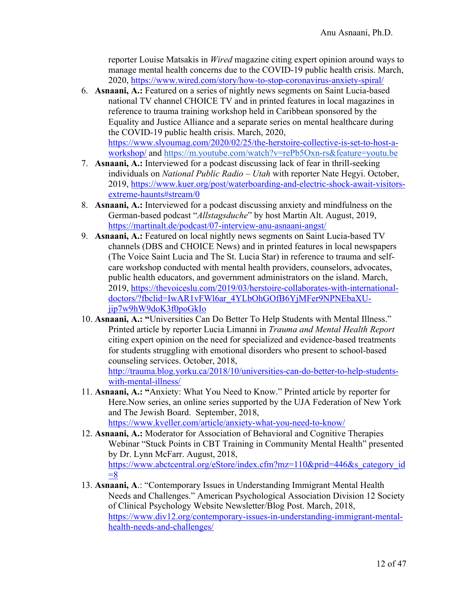reporter Louise Matsakis in *Wired* magazine citing expert opinion around ways to manage mental health concerns due to the COVID-19 public health crisis. March, 2020, https://www.wired.com/story/how-to-stop-coronavirus-anxiety-spiral/

- 6. **Asnaani, A.:** Featured on a series of nightly news segments on Saint Lucia-based national TV channel CHOICE TV and in printed features in local magazines in reference to trauma training workshop held in Caribbean sponsored by the Equality and Justice Alliance and a separate series on mental healthcare during the COVID-19 public health crisis. March, 2020, https://www.slyoumag.com/2020/02/25/the-herstoire-collective-is-set-to-host-aworkshop/ and https://m.youtube.com/watch?v=rePb5Oxn-rs&feature=youtu.be
- 7. **Asnaani, A.:** Interviewed for a podcast discussing lack of fear in thrill-seeking individuals on *National Public Radio – Utah* with reporter Nate Hegyi. October, 2019, https://www.kuer.org/post/waterboarding-and-electric-shock-await-visitorsextreme-haunts#stream/0
- 8. **Asnaani, A.:** Interviewed for a podcast discussing anxiety and mindfulness on the German-based podcast "*Allstagsduche*" by host Martin Alt. August, 2019, https://martinalt.de/podcast/07-interview-anu-asnaani-angst/
- 9. **Asnaani, A.:** Featured on local nightly news segments on Saint Lucia-based TV channels (DBS and CHOICE News) and in printed features in local newspapers (The Voice Saint Lucia and The St. Lucia Star) in reference to trauma and selfcare workshop conducted with mental health providers, counselors, advocates, public health educators, and government administrators on the island. March, 2019, https://thevoiceslu.com/2019/03/herstoire-collaborates-with-internationaldoctors/?fbclid=IwAR1vFWl6ar\_4YLbOhGOfB6YjMFer9NPNEbaXUjip7w9hW9doK3f0poGkIo
- 10. **Asnaani, A.: "**Universities Can Do Better To Help Students with Mental Illness." Printed article by reporter Lucia Limanni in *Trauma and Mental Health Report*  citing expert opinion on the need for specialized and evidence-based treatments for students struggling with emotional disorders who present to school-based counseling services. October, 2018, http://trauma.blog.yorku.ca/2018/10/universities-can-do-better-to-help-studentswith-mental-illness/
- 11. **Asnaani, A.: "**Anxiety: What You Need to Know." Printed article by reporter for Here.Now series, an online series supported by the UJA Federation of New York and The Jewish Board. September, 2018, https://www.kveller.com/article/anxiety-what-you-need-to-know/
- 12. **Asnaani, A.:** Moderator for Association of Behavioral and Cognitive Therapies Webinar "Stuck Points in CBT Training in Community Mental Health" presented by Dr. Lynn McFarr. August, 2018, https://www.abctcentral.org/eStore/index.cfm?mz=110&prid=446&s\_category\_id  $=8$
- 13. **Asnaani, A**.: "Contemporary Issues in Understanding Immigrant Mental Health Needs and Challenges." American Psychological Association Division 12 Society of Clinical Psychology Website Newsletter/Blog Post. March, 2018, https://www.div12.org/contemporary-issues-in-understanding-immigrant-mentalhealth-needs-and-challenges/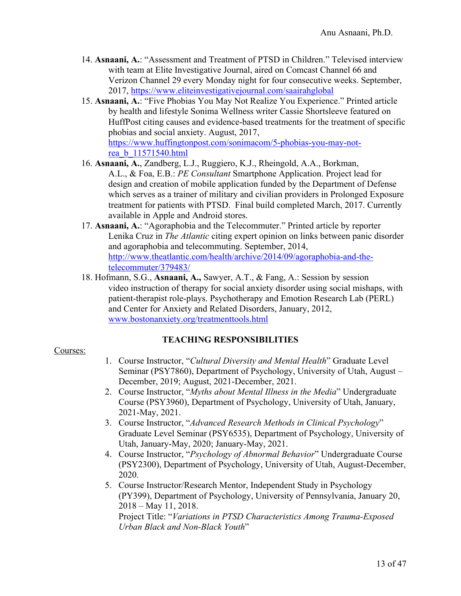- 14. **Asnaani, A.**: "Assessment and Treatment of PTSD in Children." Televised interview with team at Elite Investigative Journal, aired on Comcast Channel 66 and Verizon Channel 29 every Monday night for four consecutive weeks. September, 2017, https://www.eliteinvestigativejournal.com/saairahglobal
- 15. **Asnaani, A.**: "Five Phobias You May Not Realize You Experience." Printed article by health and lifestyle Sonima Wellness writer Cassie Shortsleeve featured on HuffPost citing causes and evidence-based treatments for the treatment of specific phobias and social anxiety. August, 2017, https://www.huffingtonpost.com/sonimacom/5-phobias-you-may-notrea\_b\_11571540.html
- 16. **Asnaani, A.**, Zandberg, L.J., Ruggiero, K.J., Rheingold, A.A., Borkman, A.L., & Foa, E.B.: *PE Consultant* Smartphone Application. Project lead for design and creation of mobile application funded by the Department of Defense which serves as a trainer of military and civilian providers in Prolonged Exposure treatment for patients with PTSD. Final build completed March, 2017. Currently available in Apple and Android stores.
- 17. **Asnaani, A.**: "Agoraphobia and the Telecommuter." Printed article by reporter Lenika Cruz in *The Atlantic* citing expert opinion on links between panic disorder and agoraphobia and telecommuting. September, 2014, http://www.theatlantic.com/health/archive/2014/09/agoraphobia-and-thetelecommuter/379483/
- 18. Hofmann, S.G., **Asnaani, A.,** Sawyer, A.T., & Fang, A.: Session by session video instruction of therapy for social anxiety disorder using social mishaps, with patient-therapist role-plays. Psychotherapy and Emotion Research Lab (PERL) and Center for Anxiety and Related Disorders, January, 2012, www.bostonanxiety.org/treatmenttools.html

## **TEACHING RESPONSIBILITIES**

#### Courses:

- 1. Course Instructor, "*Cultural Diversity and Mental Health*" Graduate Level Seminar (PSY7860), Department of Psychology, University of Utah, August – December, 2019; August, 2021-December, 2021.
- 2. Course Instructor, "*Myths about Mental Illness in the Media*" Undergraduate Course (PSY3960), Department of Psychology, University of Utah, January, 2021-May, 2021.
- 3. Course Instructor, "*Advanced Research Methods in Clinical Psychology*" Graduate Level Seminar (PSY6535), Department of Psychology, University of Utah, January-May, 2020; January-May, 2021.
- 4. Course Instructor, "*Psychology of Abnormal Behavior*" Undergraduate Course (PSY2300), Department of Psychology, University of Utah, August-December, 2020.
- 5. Course Instructor/Research Mentor, Independent Study in Psychology (PY399), Department of Psychology, University of Pennsylvania, January 20, 2018 – May 11, 2018.

Project Title: "*Variations in PTSD Characteristics Among Trauma-Exposed Urban Black and Non-Black Youth*"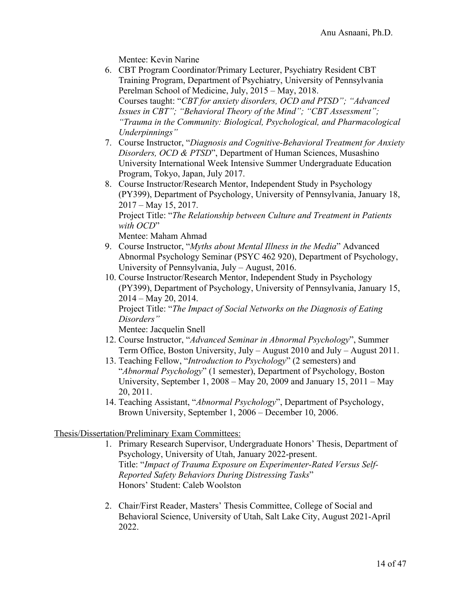Mentee: Kevin Narine

- 6. CBT Program Coordinator/Primary Lecturer, Psychiatry Resident CBT Training Program, Department of Psychiatry, University of Pennsylvania Perelman School of Medicine, July, 2015 – May, 2018. Courses taught: "*CBT for anxiety disorders, OCD and PTSD"; "Advanced Issues in CBT"; "Behavioral Theory of the Mind"; "CBT Assessment"; "Trauma in the Community: Biological, Psychological, and Pharmacological Underpinnings"*
- 7. Course Instructor, "*Diagnosis and Cognitive-Behavioral Treatment for Anxiety Disorders, OCD & PTSD*", Department of Human Sciences, Musashino University International Week Intensive Summer Undergraduate Education Program, Tokyo, Japan, July 2017.
- 8. Course Instructor/Research Mentor, Independent Study in Psychology (PY399), Department of Psychology, University of Pennsylvania, January 18, 2017 – May 15, 2017. Project Title: "*The Relationship between Culture and Treatment in Patients with OCD*"

Mentee: Maham Ahmad

- 9. Course Instructor, "*Myths about Mental Illness in the Media*" Advanced Abnormal Psychology Seminar (PSYC 462 920), Department of Psychology, University of Pennsylvania, July – August, 2016.
- 10. Course Instructor/Research Mentor, Independent Study in Psychology (PY399), Department of Psychology, University of Pennsylvania, January 15, 2014 – May 20, 2014. Project Title: "*The Impact of Social Networks on the Diagnosis of Eating Disorders"*

Mentee: Jacquelin Snell

- 12. Course Instructor, "*Advanced Seminar in Abnormal Psychology*", Summer Term Office, Boston University, July – August 2010 and July – August 2011.
- 13. Teaching Fellow, "*Introduction to Psychology*" (2 semesters) and "*Abnormal Psychology*" (1 semester), Department of Psychology, Boston University, September 1, 2008 – May 20, 2009 and January 15, 2011 – May 20, 2011.
- 14. Teaching Assistant, "*Abnormal Psychology*", Department of Psychology, Brown University, September 1, 2006 – December 10, 2006.

Thesis/Dissertation/Preliminary Exam Committees:

- 1. Primary Research Supervisor, Undergraduate Honors' Thesis, Department of Psychology, University of Utah, January 2022-present. Title: "*Impact of Trauma Exposure on Experimenter-Rated Versus Self-Reported Safety Behaviors During Distressing Tasks*" Honors' Student: Caleb Woolston
- 2. Chair/First Reader, Masters' Thesis Committee, College of Social and Behavioral Science, University of Utah, Salt Lake City, August 2021-April 2022.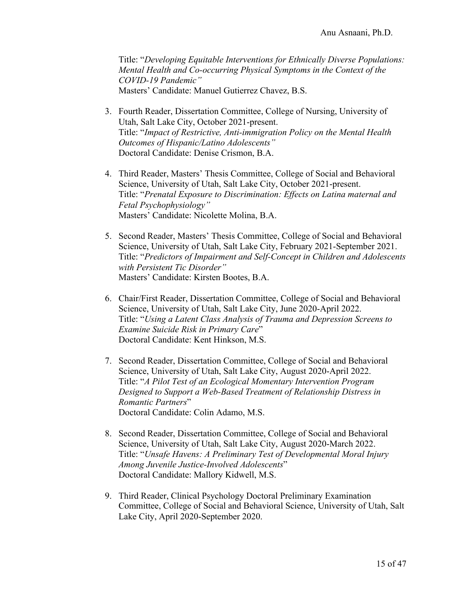Title: "*Developing Equitable Interventions for Ethnically Diverse Populations: Mental Health and Co-occurring Physical Symptoms in the Context of the COVID-19 Pandemic"* Masters' Candidate: Manuel Gutierrez Chavez, B.S.

- 3. Fourth Reader, Dissertation Committee, College of Nursing, University of Utah, Salt Lake City, October 2021-present. Title: "*Impact of Restrictive, Anti-immigration Policy on the Mental Health Outcomes of Hispanic/Latino Adolescents"* Doctoral Candidate: Denise Crismon, B.A.
- 4. Third Reader, Masters' Thesis Committee, College of Social and Behavioral Science, University of Utah, Salt Lake City, October 2021-present. Title: "*Prenatal Exposure to Discrimination: Effects on Latina maternal and Fetal Psychophysiology"* Masters' Candidate: Nicolette Molina, B.A.
- 5. Second Reader, Masters' Thesis Committee, College of Social and Behavioral Science, University of Utah, Salt Lake City, February 2021-September 2021. Title: "*Predictors of Impairment and Self-Concept in Children and Adolescents with Persistent Tic Disorder"* Masters' Candidate: Kirsten Bootes, B.A.
- 6. Chair/First Reader, Dissertation Committee, College of Social and Behavioral Science, University of Utah, Salt Lake City, June 2020-April 2022. Title: "*Using a Latent Class Analysis of Trauma and Depression Screens to Examine Suicide Risk in Primary Care*" Doctoral Candidate: Kent Hinkson, M.S.
- 7. Second Reader, Dissertation Committee, College of Social and Behavioral Science, University of Utah, Salt Lake City, August 2020-April 2022. Title: "*A Pilot Test of an Ecological Momentary Intervention Program Designed to Support a Web-Based Treatment of Relationship Distress in Romantic Partners*" Doctoral Candidate: Colin Adamo, M.S.
- 8. Second Reader, Dissertation Committee, College of Social and Behavioral Science, University of Utah, Salt Lake City, August 2020-March 2022. Title: "*Unsafe Havens: A Preliminary Test of Developmental Moral Injury Among Juvenile Justice-Involved Adolescents*" Doctoral Candidate: Mallory Kidwell, M.S.
- 9. Third Reader, Clinical Psychology Doctoral Preliminary Examination Committee, College of Social and Behavioral Science, University of Utah, Salt Lake City, April 2020-September 2020.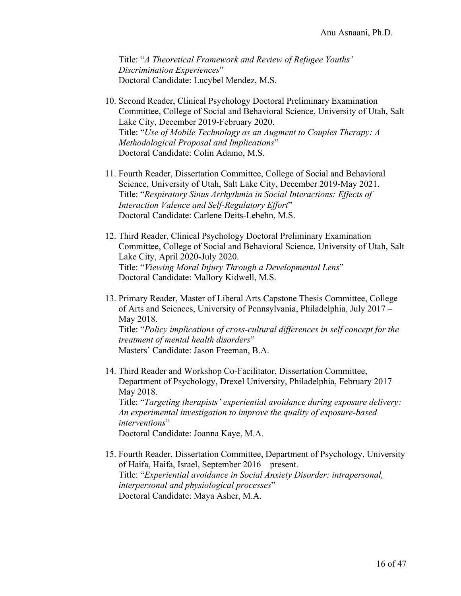Title: "*A Theoretical Framework and Review of Refugee Youths' Discrimination Experiences*" Doctoral Candidate: Lucybel Mendez, M.S.

- 10. Second Reader, Clinical Psychology Doctoral Preliminary Examination Committee, College of Social and Behavioral Science, University of Utah, Salt Lake City, December 2019-February 2020. Title: "*Use of Mobile Technology as an Augment to Couples Therapy: A Methodological Proposal and Implications*" Doctoral Candidate: Colin Adamo, M.S.
- 11. Fourth Reader, Dissertation Committee, College of Social and Behavioral Science, University of Utah, Salt Lake City, December 2019-May 2021. Title: "*Respiratory Sinus Arrhythmia in Social Interactions: Effects of Interaction Valence and Self-Regulatory Effort*" Doctoral Candidate: Carlene Deits-Lebehn, M.S.
- 12. Third Reader, Clinical Psychology Doctoral Preliminary Examination Committee, College of Social and Behavioral Science, University of Utah, Salt Lake City, April 2020-July 2020. Title: "*Viewing Moral Injury Through a Developmental Lens*" Doctoral Candidate: Mallory Kidwell, M.S.
- 13. Primary Reader, Master of Liberal Arts Capstone Thesis Committee, College of Arts and Sciences, University of Pennsylvania, Philadelphia, July 2017 – May 2018. Title: "*Policy implications of cross-cultural differences in self concept for the treatment of mental health disorders*" Masters' Candidate: Jason Freeman, B.A.
- 14. Third Reader and Workshop Co-Facilitator, Dissertation Committee, Department of Psychology, Drexel University, Philadelphia, February 2017 – May 2018. Title: "*Targeting therapists' experiential avoidance during exposure delivery: An experimental investigation to improve the quality of exposure-based interventions*" Doctoral Candidate: Joanna Kaye, M.A.
- 15. Fourth Reader, Dissertation Committee, Department of Psychology, University of Haifa, Haifa, Israel, September 2016 – present. Title: "*Experiential avoidance in Social Anxiety Disorder: intrapersonal, interpersonal and physiological processes*" Doctoral Candidate: Maya Asher, M.A.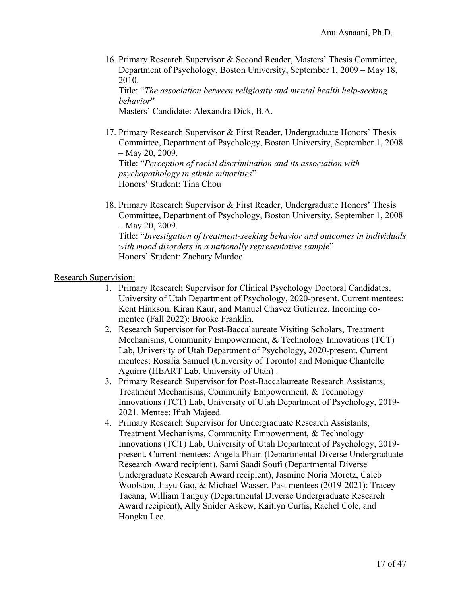16. Primary Research Supervisor & Second Reader, Masters' Thesis Committee, Department of Psychology, Boston University, September 1, 2009 – May 18, 2010.

Title: "*The association between religiosity and mental health help-seeking behavior*"

Masters' Candidate: Alexandra Dick, B.A.

- 17. Primary Research Supervisor & First Reader, Undergraduate Honors' Thesis Committee, Department of Psychology, Boston University, September 1, 2008 – May 20, 2009. Title: "*Perception of racial discrimination and its association with psychopathology in ethnic minorities*" Honors' Student: Tina Chou
- 18. Primary Research Supervisor & First Reader, Undergraduate Honors' Thesis Committee, Department of Psychology, Boston University, September 1, 2008 – May 20, 2009. Title: "*Investigation of treatment-seeking behavior and outcomes in individuals with mood disorders in a nationally representative sample*" Honors' Student: Zachary Mardoc

Research Supervision:

- 1. Primary Research Supervisor for Clinical Psychology Doctoral Candidates, University of Utah Department of Psychology, 2020-present. Current mentees: Kent Hinkson, Kiran Kaur, and Manuel Chavez Gutierrez. Incoming comentee (Fall 2022): Brooke Franklin.
- 2. Research Supervisor for Post-Baccalaureate Visiting Scholars, Treatment Mechanisms, Community Empowerment, & Technology Innovations (TCT) Lab, University of Utah Department of Psychology, 2020-present. Current mentees: Rosalia Samuel (University of Toronto) and Monique Chantelle Aguirre (HEART Lab, University of Utah) .
- 3. Primary Research Supervisor for Post-Baccalaureate Research Assistants, Treatment Mechanisms, Community Empowerment, & Technology Innovations (TCT) Lab, University of Utah Department of Psychology, 2019- 2021. Mentee: Ifrah Majeed.
- 4. Primary Research Supervisor for Undergraduate Research Assistants, Treatment Mechanisms, Community Empowerment, & Technology Innovations (TCT) Lab, University of Utah Department of Psychology, 2019 present. Current mentees: Angela Pham (Departmental Diverse Undergraduate Research Award recipient), Sami Saadi Soufi (Departmental Diverse Undergraduate Research Award recipient), Jasmine Noria Moretz, Caleb Woolston, Jiayu Gao, & Michael Wasser. Past mentees (2019-2021): Tracey Tacana, William Tanguy (Departmental Diverse Undergraduate Research Award recipient), Ally Snider Askew, Kaitlyn Curtis, Rachel Cole, and Hongku Lee.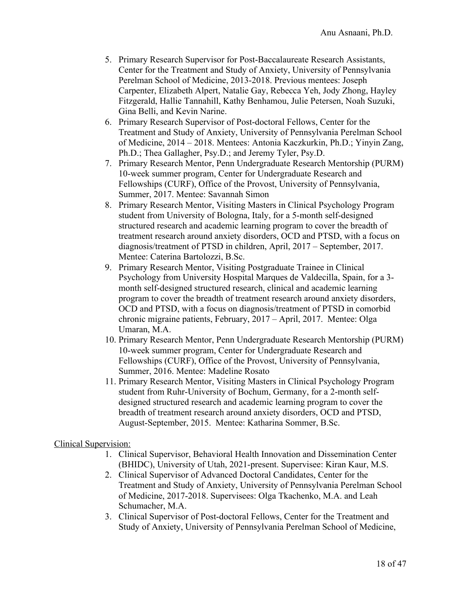- 5. Primary Research Supervisor for Post-Baccalaureate Research Assistants, Center for the Treatment and Study of Anxiety, University of Pennsylvania Perelman School of Medicine, 2013-2018. Previous mentees: Joseph Carpenter, Elizabeth Alpert, Natalie Gay, Rebecca Yeh, Jody Zhong, Hayley Fitzgerald, Hallie Tannahill, Kathy Benhamou, Julie Petersen, Noah Suzuki, Gina Belli, and Kevin Narine.
- 6. Primary Research Supervisor of Post-doctoral Fellows, Center for the Treatment and Study of Anxiety, University of Pennsylvania Perelman School of Medicine, 2014 – 2018. Mentees: Antonia Kaczkurkin, Ph.D.; Yinyin Zang, Ph.D.; Thea Gallagher, Psy.D.; and Jeremy Tyler, Psy.D.
- 7. Primary Research Mentor, Penn Undergraduate Research Mentorship (PURM) 10-week summer program, Center for Undergraduate Research and Fellowships (CURF), Office of the Provost, University of Pennsylvania, Summer, 2017. Mentee: Savannah Simon
- 8. Primary Research Mentor, Visiting Masters in Clinical Psychology Program student from University of Bologna, Italy, for a 5-month self-designed structured research and academic learning program to cover the breadth of treatment research around anxiety disorders, OCD and PTSD, with a focus on diagnosis/treatment of PTSD in children, April, 2017 – September, 2017. Mentee: Caterina Bartolozzi, B.Sc.
- 9. Primary Research Mentor, Visiting Postgraduate Trainee in Clinical Psychology from University Hospital Marques de Valdecilla, Spain, for a 3 month self-designed structured research, clinical and academic learning program to cover the breadth of treatment research around anxiety disorders, OCD and PTSD, with a focus on diagnosis/treatment of PTSD in comorbid chronic migraine patients, February, 2017 – April, 2017. Mentee: Olga Umaran, M.A.
- 10. Primary Research Mentor, Penn Undergraduate Research Mentorship (PURM) 10-week summer program, Center for Undergraduate Research and Fellowships (CURF), Office of the Provost, University of Pennsylvania, Summer, 2016. Mentee: Madeline Rosato
- 11. Primary Research Mentor, Visiting Masters in Clinical Psychology Program student from Ruhr-University of Bochum, Germany, for a 2-month selfdesigned structured research and academic learning program to cover the breadth of treatment research around anxiety disorders, OCD and PTSD, August-September, 2015. Mentee: Katharina Sommer, B.Sc.

## Clinical Supervision:

- 1. Clinical Supervisor, Behavioral Health Innovation and Dissemination Center (BHIDC), University of Utah, 2021-present. Supervisee: Kiran Kaur, M.S.
- 2. Clinical Supervisor of Advanced Doctoral Candidates, Center for the Treatment and Study of Anxiety, University of Pennsylvania Perelman School of Medicine, 2017-2018. Supervisees: Olga Tkachenko, M.A. and Leah Schumacher, M.A.
- 3. Clinical Supervisor of Post-doctoral Fellows, Center for the Treatment and Study of Anxiety, University of Pennsylvania Perelman School of Medicine,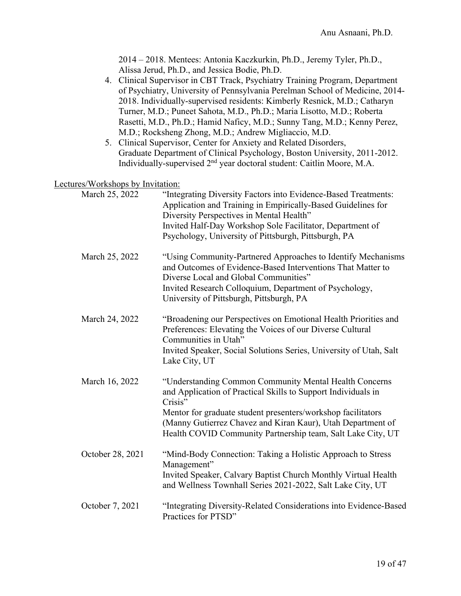2014 – 2018. Mentees: Antonia Kaczkurkin, Ph.D., Jeremy Tyler, Ph.D., Alissa Jerud, Ph.D., and Jessica Bodie, Ph.D. 4. Clinical Supervisor in CBT Track, Psychiatry Training Program, Department of Psychiatry, University of Pennsylvania Perelman School of Medicine, 2014- 2018. Individually-supervised residents: Kimberly Resnick, M.D.; Catharyn Turner, M.D.; Puneet Sahota, M.D., Ph.D.; Maria Lisotto, M.D.; Roberta Rasetti, M.D., Ph.D.; Hamid Naficy, M.D.; Sunny Tang, M.D.; Kenny Perez, M.D.; Rocksheng Zhong, M.D.; Andrew Migliaccio, M.D. 5. Clinical Supervisor, Center for Anxiety and Related Disorders, Graduate Department of Clinical Psychology, Boston University, 2011-2012. Individually-supervised 2nd year doctoral student: Caitlin Moore, M.A. Lectures/Workshops by Invitation: March 25, 2022 "Integrating Diversity Factors into Evidence-Based Treatments: Application and Training in Empirically-Based Guidelines for Diversity Perspectives in Mental Health" Invited Half-Day Workshop Sole Facilitator, Department of Psychology, University of Pittsburgh, Pittsburgh, PA March 25, 2022 "Using Community-Partnered Approaches to Identify Mechanisms and Outcomes of Evidence-Based Interventions That Matter to Diverse Local and Global Communities" Invited Research Colloquium, Department of Psychology, University of Pittsburgh, Pittsburgh, PA March 24, 2022 "Broadening our Perspectives on Emotional Health Priorities and Preferences: Elevating the Voices of our Diverse Cultural Communities in Utah" Invited Speaker, Social Solutions Series, University of Utah, Salt Lake City, UT March 16, 2022 "Understanding Common Community Mental Health Concerns and Application of Practical Skills to Support Individuals in Crisis" Mentor for graduate student presenters/workshop facilitators (Manny Gutierrez Chavez and Kiran Kaur), Utah Department of Health COVID Community Partnership team, Salt Lake City, UT October 28, 2021 "Mind-Body Connection: Taking a Holistic Approach to Stress Management" Invited Speaker, Calvary Baptist Church Monthly Virtual Health and Wellness Townhall Series 2021-2022, Salt Lake City, UT October 7, 2021 "Integrating Diversity-Related Considerations into Evidence-Based Practices for PTSD"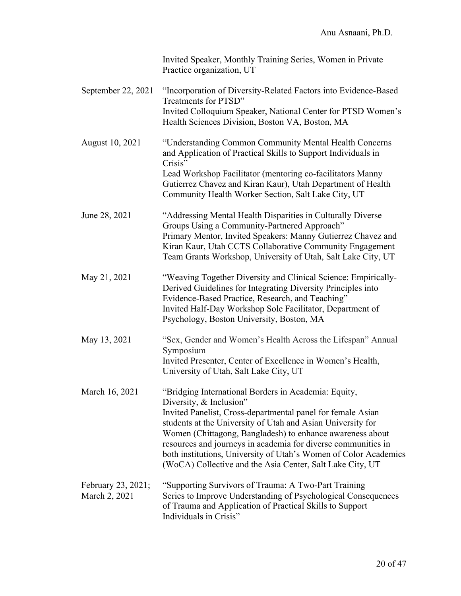|                                     | Invited Speaker, Monthly Training Series, Women in Private<br>Practice organization, UT                                                                                                                                                                                                                                                                                                                                                                                      |
|-------------------------------------|------------------------------------------------------------------------------------------------------------------------------------------------------------------------------------------------------------------------------------------------------------------------------------------------------------------------------------------------------------------------------------------------------------------------------------------------------------------------------|
| September 22, 2021                  | "Incorporation of Diversity-Related Factors into Evidence-Based<br>Treatments for PTSD"<br>Invited Colloquium Speaker, National Center for PTSD Women's<br>Health Sciences Division, Boston VA, Boston, MA                                                                                                                                                                                                                                                                   |
| August 10, 2021                     | "Understanding Common Community Mental Health Concerns<br>and Application of Practical Skills to Support Individuals in<br>Crisis"<br>Lead Workshop Facilitator (mentoring co-facilitators Manny<br>Gutierrez Chavez and Kiran Kaur), Utah Department of Health<br>Community Health Worker Section, Salt Lake City, UT                                                                                                                                                       |
| June 28, 2021                       | "Addressing Mental Health Disparities in Culturally Diverse<br>Groups Using a Community-Partnered Approach"<br>Primary Mentor, Invited Speakers: Manny Gutierrez Chavez and<br>Kiran Kaur, Utah CCTS Collaborative Community Engagement<br>Team Grants Workshop, University of Utah, Salt Lake City, UT                                                                                                                                                                      |
| May 21, 2021                        | "Weaving Together Diversity and Clinical Science: Empirically-<br>Derived Guidelines for Integrating Diversity Principles into<br>Evidence-Based Practice, Research, and Teaching"<br>Invited Half-Day Workshop Sole Facilitator, Department of<br>Psychology, Boston University, Boston, MA                                                                                                                                                                                 |
| May 13, 2021                        | "Sex, Gender and Women's Health Across the Lifespan" Annual<br>Symposium<br>Invited Presenter, Center of Excellence in Women's Health,<br>University of Utah, Salt Lake City, UT                                                                                                                                                                                                                                                                                             |
| March 16, 2021                      | "Bridging International Borders in Academia: Equity,<br>Diversity, & Inclusion"<br>Invited Panelist, Cross-departmental panel for female Asian<br>students at the University of Utah and Asian University for<br>Women (Chittagong, Bangladesh) to enhance awareness about<br>resources and journeys in academia for diverse communities in<br>both institutions, University of Utah's Women of Color Academics<br>(WoCA) Collective and the Asia Center, Salt Lake City, UT |
| February 23, 2021;<br>March 2, 2021 | "Supporting Survivors of Trauma: A Two-Part Training<br>Series to Improve Understanding of Psychological Consequences<br>of Trauma and Application of Practical Skills to Support<br>Individuals in Crisis"                                                                                                                                                                                                                                                                  |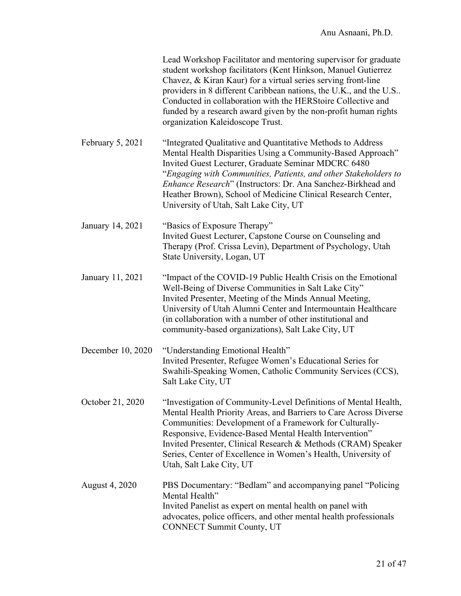|                   | Lead Workshop Facilitator and mentoring supervisor for graduate<br>student workshop facilitators (Kent Hinkson, Manuel Gutierrez<br>Chavez, & Kiran Kaur) for a virtual series serving front-line<br>providers in 8 different Caribbean nations, the U.K., and the U.S<br>Conducted in collaboration with the HERStoire Collective and<br>funded by a research award given by the non-profit human rights<br>organization Kaleidoscope Trust. |
|-------------------|-----------------------------------------------------------------------------------------------------------------------------------------------------------------------------------------------------------------------------------------------------------------------------------------------------------------------------------------------------------------------------------------------------------------------------------------------|
| February 5, 2021  | "Integrated Qualitative and Quantitative Methods to Address<br>Mental Health Disparities Using a Community-Based Approach"<br>Invited Guest Lecturer, Graduate Seminar MDCRC 6480<br>"Engaging with Communities, Patients, and other Stakeholders to<br>Enhance Research" (Instructors: Dr. Ana Sanchez-Birkhead and<br>Heather Brown), School of Medicine Clinical Research Center,<br>University of Utah, Salt Lake City, UT                |
| January 14, 2021  | "Basics of Exposure Therapy"<br>Invited Guest Lecturer, Capstone Course on Counseling and<br>Therapy (Prof. Crissa Levin), Department of Psychology, Utah<br>State University, Logan, UT                                                                                                                                                                                                                                                      |
| January 11, 2021  | "Impact of the COVID-19 Public Health Crisis on the Emotional<br>Well-Being of Diverse Communities in Salt Lake City"<br>Invited Presenter, Meeting of the Minds Annual Meeting,<br>University of Utah Alumni Center and Intermountain Healthcare<br>(in collaboration with a number of other institutional and<br>community-based organizations), Salt Lake City, UT                                                                         |
| December 10, 2020 | "Understanding Emotional Health"<br>Invited Presenter, Refugee Women's Educational Series for<br>Swahili-Speaking Women, Catholic Community Services (CCS),<br>Salt Lake City, UT                                                                                                                                                                                                                                                             |
| October 21, 2020  | "Investigation of Community-Level Definitions of Mental Health,<br>Mental Health Priority Areas, and Barriers to Care Across Diverse<br>Communities: Development of a Framework for Culturally-<br>Responsive, Evidence-Based Mental Health Intervention"<br>Invited Presenter, Clinical Research & Methods (CRAM) Speaker<br>Series, Center of Excellence in Women's Health, University of<br>Utah, Salt Lake City, UT                       |
| August 4, 2020    | PBS Documentary: "Bedlam" and accompanying panel "Policing<br>Mental Health"<br>Invited Panelist as expert on mental health on panel with<br>advocates, police officers, and other mental health professionals<br><b>CONNECT Summit County, UT</b>                                                                                                                                                                                            |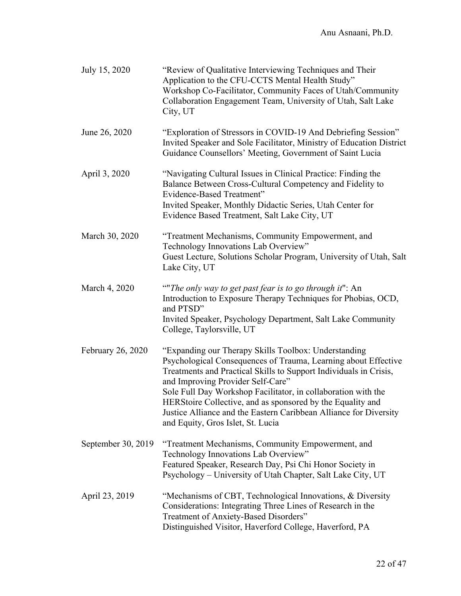| July 15, 2020      | "Review of Qualitative Interviewing Techniques and Their<br>Application to the CFU-CCTS Mental Health Study"<br>Workshop Co-Facilitator, Community Faces of Utah/Community<br>Collaboration Engagement Team, University of Utah, Salt Lake<br>City, UT                                                                                                                                                                                                                    |
|--------------------|---------------------------------------------------------------------------------------------------------------------------------------------------------------------------------------------------------------------------------------------------------------------------------------------------------------------------------------------------------------------------------------------------------------------------------------------------------------------------|
| June 26, 2020      | "Exploration of Stressors in COVID-19 And Debriefing Session"<br>Invited Speaker and Sole Facilitator, Ministry of Education District<br>Guidance Counsellors' Meeting, Government of Saint Lucia                                                                                                                                                                                                                                                                         |
| April 3, 2020      | "Navigating Cultural Issues in Clinical Practice: Finding the<br>Balance Between Cross-Cultural Competency and Fidelity to<br>Evidence-Based Treatment"<br>Invited Speaker, Monthly Didactic Series, Utah Center for<br>Evidence Based Treatment, Salt Lake City, UT                                                                                                                                                                                                      |
| March 30, 2020     | "Treatment Mechanisms, Community Empowerment, and<br>Technology Innovations Lab Overview"<br>Guest Lecture, Solutions Scholar Program, University of Utah, Salt<br>Lake City, UT                                                                                                                                                                                                                                                                                          |
| March 4, 2020      | ""The only way to get past fear is to go through it": An<br>Introduction to Exposure Therapy Techniques for Phobias, OCD,<br>and PTSD"<br>Invited Speaker, Psychology Department, Salt Lake Community<br>College, Taylorsville, UT                                                                                                                                                                                                                                        |
| February 26, 2020  | "Expanding our Therapy Skills Toolbox: Understanding<br>Psychological Consequences of Trauma, Learning about Effective<br>Treatments and Practical Skills to Support Individuals in Crisis,<br>and Improving Provider Self-Care"<br>Sole Full Day Workshop Facilitator, in collaboration with the<br>HERStoire Collective, and as sponsored by the Equality and<br>Justice Alliance and the Eastern Caribbean Alliance for Diversity<br>and Equity, Gros Islet, St. Lucia |
| September 30, 2019 | "Treatment Mechanisms, Community Empowerment, and<br>Technology Innovations Lab Overview"<br>Featured Speaker, Research Day, Psi Chi Honor Society in<br>Psychology - University of Utah Chapter, Salt Lake City, UT                                                                                                                                                                                                                                                      |
| April 23, 2019     | "Mechanisms of CBT, Technological Innovations, & Diversity<br>Considerations: Integrating Three Lines of Research in the<br>Treatment of Anxiety-Based Disorders"<br>Distinguished Visitor, Haverford College, Haverford, PA                                                                                                                                                                                                                                              |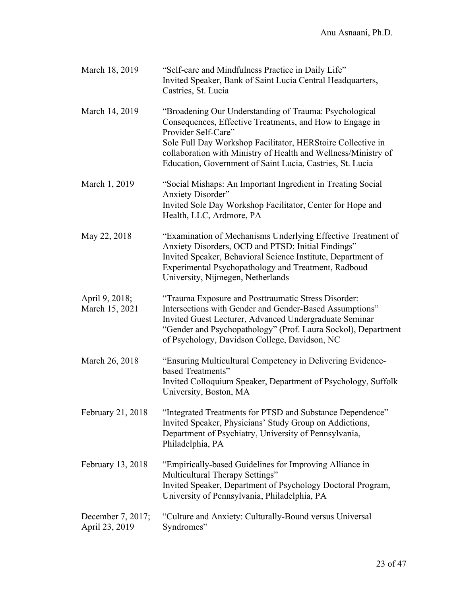| March 18, 2019                      | "Self-care and Mindfulness Practice in Daily Life"<br>Invited Speaker, Bank of Saint Lucia Central Headquarters,<br>Castries, St. Lucia                                                                                                                                                                                                 |
|-------------------------------------|-----------------------------------------------------------------------------------------------------------------------------------------------------------------------------------------------------------------------------------------------------------------------------------------------------------------------------------------|
| March 14, 2019                      | "Broadening Our Understanding of Trauma: Psychological<br>Consequences, Effective Treatments, and How to Engage in<br>Provider Self-Care"<br>Sole Full Day Workshop Facilitator, HERStoire Collective in<br>collaboration with Ministry of Health and Wellness/Ministry of<br>Education, Government of Saint Lucia, Castries, St. Lucia |
| March 1, 2019                       | "Social Mishaps: An Important Ingredient in Treating Social<br><b>Anxiety Disorder"</b><br>Invited Sole Day Workshop Facilitator, Center for Hope and<br>Health, LLC, Ardmore, PA                                                                                                                                                       |
| May 22, 2018                        | "Examination of Mechanisms Underlying Effective Treatment of<br>Anxiety Disorders, OCD and PTSD: Initial Findings"<br>Invited Speaker, Behavioral Science Institute, Department of<br>Experimental Psychopathology and Treatment, Radboud<br>University, Nijmegen, Netherlands                                                          |
| April 9, 2018;<br>March 15, 2021    | "Trauma Exposure and Posttraumatic Stress Disorder:<br>Intersections with Gender and Gender-Based Assumptions"<br>Invited Guest Lecturer, Advanced Undergraduate Seminar<br>"Gender and Psychopathology" (Prof. Laura Sockol), Department<br>of Psychology, Davidson College, Davidson, NC                                              |
| March 26, 2018                      | "Ensuring Multicultural Competency in Delivering Evidence-<br>based Treatments"<br>Invited Colloquium Speaker, Department of Psychology, Suffolk<br>University, Boston, MA                                                                                                                                                              |
| February 21, 2018                   | "Integrated Treatments for PTSD and Substance Dependence"<br>Invited Speaker, Physicians' Study Group on Addictions,<br>Department of Psychiatry, University of Pennsylvania,<br>Philadelphia, PA                                                                                                                                       |
| February 13, 2018                   | "Empirically-based Guidelines for Improving Alliance in<br>Multicultural Therapy Settings"<br>Invited Speaker, Department of Psychology Doctoral Program,<br>University of Pennsylvania, Philadelphia, PA                                                                                                                               |
| December 7, 2017;<br>April 23, 2019 | "Culture and Anxiety: Culturally-Bound versus Universal<br>Syndromes"                                                                                                                                                                                                                                                                   |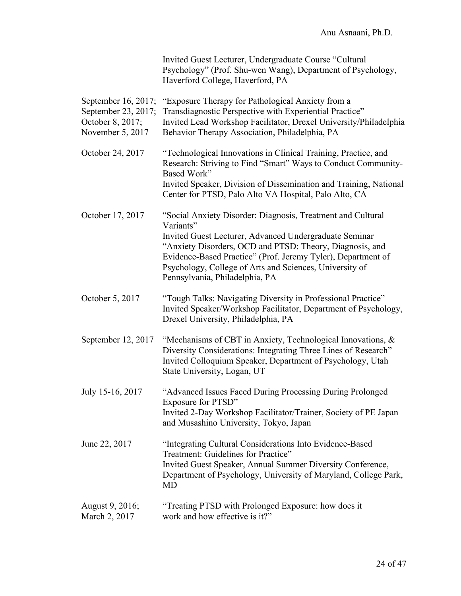|                                                                                    | Invited Guest Lecturer, Undergraduate Course "Cultural<br>Psychology" (Prof. Shu-wen Wang), Department of Psychology,<br>Haverford College, Haverford, PA                                                                                                                                                                                                   |
|------------------------------------------------------------------------------------|-------------------------------------------------------------------------------------------------------------------------------------------------------------------------------------------------------------------------------------------------------------------------------------------------------------------------------------------------------------|
| September 16, 2017;<br>September 23, 2017;<br>October 8, 2017;<br>November 5, 2017 | "Exposure Therapy for Pathological Anxiety from a<br>Transdiagnostic Perspective with Experiential Practice"<br>Invited Lead Workshop Facilitator, Drexel University/Philadelphia<br>Behavior Therapy Association, Philadelphia, PA                                                                                                                         |
| October 24, 2017                                                                   | "Technological Innovations in Clinical Training, Practice, and<br>Research: Striving to Find "Smart" Ways to Conduct Community-<br>Based Work"<br>Invited Speaker, Division of Dissemination and Training, National<br>Center for PTSD, Palo Alto VA Hospital, Palo Alto, CA                                                                                |
| October 17, 2017                                                                   | "Social Anxiety Disorder: Diagnosis, Treatment and Cultural<br>Variants"<br>Invited Guest Lecturer, Advanced Undergraduate Seminar<br>"Anxiety Disorders, OCD and PTSD: Theory, Diagnosis, and<br>Evidence-Based Practice" (Prof. Jeremy Tyler), Department of<br>Psychology, College of Arts and Sciences, University of<br>Pennsylvania, Philadelphia, PA |
| October 5, 2017                                                                    | "Tough Talks: Navigating Diversity in Professional Practice"<br>Invited Speaker/Workshop Facilitator, Department of Psychology,<br>Drexel University, Philadelphia, PA                                                                                                                                                                                      |
| September 12, 2017                                                                 | "Mechanisms of CBT in Anxiety, Technological Innovations, &<br>Diversity Considerations: Integrating Three Lines of Research"<br>Invited Colloquium Speaker, Department of Psychology, Utah<br>State University, Logan, UT                                                                                                                                  |
| July 15-16, 2017                                                                   | "Advanced Issues Faced During Processing During Prolonged<br>Exposure for PTSD"<br>Invited 2-Day Workshop Facilitator/Trainer, Society of PE Japan<br>and Musashino University, Tokyo, Japan                                                                                                                                                                |
| June 22, 2017                                                                      | "Integrating Cultural Considerations Into Evidence-Based<br>Treatment: Guidelines for Practice"<br>Invited Guest Speaker, Annual Summer Diversity Conference,<br>Department of Psychology, University of Maryland, College Park,<br>MD                                                                                                                      |
| August 9, 2016;<br>March 2, 2017                                                   | "Treating PTSD with Prolonged Exposure: how does it<br>work and how effective is it?"                                                                                                                                                                                                                                                                       |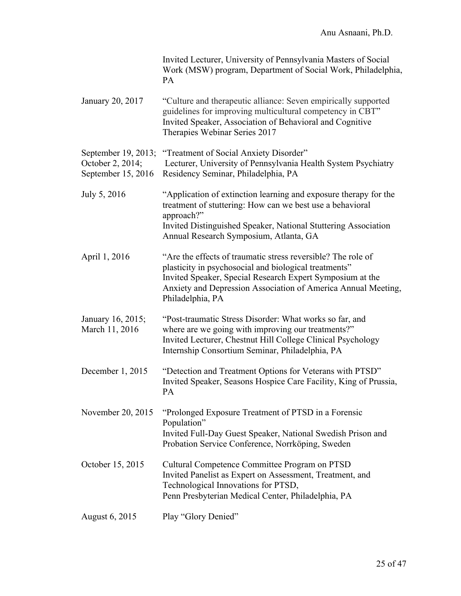|                                                               | Invited Lecturer, University of Pennsylvania Masters of Social<br>Work (MSW) program, Department of Social Work, Philadelphia,<br>PA                                                                                                                                    |
|---------------------------------------------------------------|-------------------------------------------------------------------------------------------------------------------------------------------------------------------------------------------------------------------------------------------------------------------------|
| January 20, 2017                                              | "Culture and therapeutic alliance: Seven empirically supported<br>guidelines for improving multicultural competency in CBT"<br>Invited Speaker, Association of Behavioral and Cognitive<br>Therapies Webinar Series 2017                                                |
| September 19, 2013;<br>October 2, 2014;<br>September 15, 2016 | "Treatment of Social Anxiety Disorder"<br>Lecturer, University of Pennsylvania Health System Psychiatry<br>Residency Seminar, Philadelphia, PA                                                                                                                          |
| July 5, 2016                                                  | "Application of extinction learning and exposure therapy for the<br>treatment of stuttering: How can we best use a behavioral<br>approach?"<br>Invited Distinguished Speaker, National Stuttering Association<br>Annual Research Symposium, Atlanta, GA                 |
| April 1, 2016                                                 | "Are the effects of traumatic stress reversible? The role of<br>plasticity in psychosocial and biological treatments"<br>Invited Speaker, Special Research Expert Symposium at the<br>Anxiety and Depression Association of America Annual Meeting,<br>Philadelphia, PA |
| January 16, 2015;<br>March 11, 2016                           | "Post-traumatic Stress Disorder: What works so far, and<br>where are we going with improving our treatments?"<br>Invited Lecturer, Chestnut Hill College Clinical Psychology<br>Internship Consortium Seminar, Philadelphia, PA                                         |
| December 1, 2015                                              | "Detection and Treatment Options for Veterans with PTSD"<br>Invited Speaker, Seasons Hospice Care Facility, King of Prussia,<br>PA                                                                                                                                      |
| November 20, 2015                                             | "Prolonged Exposure Treatment of PTSD in a Forensic<br>Population"<br>Invited Full-Day Guest Speaker, National Swedish Prison and<br>Probation Service Conference, Norrköping, Sweden                                                                                   |
| October 15, 2015                                              | Cultural Competence Committee Program on PTSD<br>Invited Panelist as Expert on Assessment, Treatment, and<br>Technological Innovations for PTSD,<br>Penn Presbyterian Medical Center, Philadelphia, PA                                                                  |
| <b>August 6, 2015</b>                                         | Play "Glory Denied"                                                                                                                                                                                                                                                     |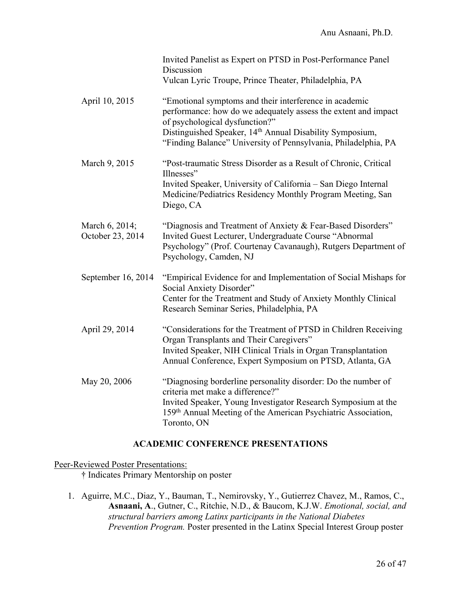|                                    | Invited Panelist as Expert on PTSD in Post-Performance Panel<br>Discussion<br>Vulcan Lyric Troupe, Prince Theater, Philadelphia, PA                                                                                                                                                                  |
|------------------------------------|------------------------------------------------------------------------------------------------------------------------------------------------------------------------------------------------------------------------------------------------------------------------------------------------------|
| April 10, 2015                     | "Emotional symptoms and their interference in academic<br>performance: how do we adequately assess the extent and impact<br>of psychological dysfunction?"<br>Distinguished Speaker, 14 <sup>th</sup> Annual Disability Symposium,<br>"Finding Balance" University of Pennsylvania, Philadelphia, PA |
| March 9, 2015                      | "Post-traumatic Stress Disorder as a Result of Chronic, Critical<br>Illnesses"<br>Invited Speaker, University of California - San Diego Internal<br>Medicine/Pediatrics Residency Monthly Program Meeting, San<br>Diego, CA                                                                          |
| March 6, 2014;<br>October 23, 2014 | "Diagnosis and Treatment of Anxiety & Fear-Based Disorders"<br>Invited Guest Lecturer, Undergraduate Course "Abnormal<br>Psychology" (Prof. Courtenay Cavanaugh), Rutgers Department of<br>Psychology, Camden, NJ                                                                                    |
| September 16, 2014                 | "Empirical Evidence for and Implementation of Social Mishaps for<br>Social Anxiety Disorder"<br>Center for the Treatment and Study of Anxiety Monthly Clinical<br>Research Seminar Series, Philadelphia, PA                                                                                          |
| April 29, 2014                     | "Considerations for the Treatment of PTSD in Children Receiving<br>Organ Transplants and Their Caregivers"<br>Invited Speaker, NIH Clinical Trials in Organ Transplantation<br>Annual Conference, Expert Symposium on PTSD, Atlanta, GA                                                              |
| May 20, 2006                       | "Diagnosing borderline personality disorder: Do the number of<br>criteria met make a difference?"<br>Invited Speaker, Young Investigator Research Symposium at the<br>159th Annual Meeting of the American Psychiatric Association,<br>Toronto, ON                                                   |

#### **ACADEMIC CONFERENCE PRESENTATIONS**

### Peer-Reviewed Poster Presentations:

**†** Indicates Primary Mentorship on poster

1. Aguirre, M.C., Diaz, Y., Bauman, T., Nemirovsky, Y., Gutierrez Chavez, M., Ramos, C., **Asnaani, A**., Gutner, C., Ritchie, N.D., & Baucom, K.J.W. *Emotional, social, and structural barriers among Latinx participants in the National Diabetes Prevention Program.* Poster presented in the Latinx Special Interest Group poster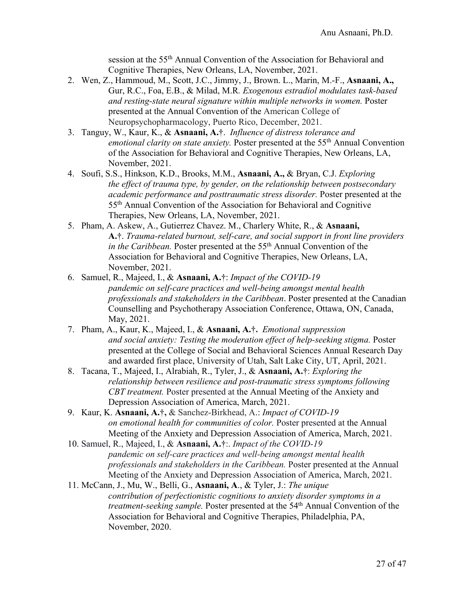session at the 55th Annual Convention of the Association for Behavioral and Cognitive Therapies, New Orleans, LA, November, 2021.

- 2. Wen, Z., Hammoud, M., Scott, J.C., Jimmy, J., Brown. L., Marin, M.-F., **Asnaani, A.,** Gur, R.C., Foa, E.B., & Milad, M.R*. Exogenous estradiol modulates task-based and resting-state neural signature within multiple networks in women.* Poster presented at the Annual Convention of the American College of Neuropsychopharmacology, Puerto Rico, December, 2021.
- 3. Tanguy, W., Kaur, K., & **Asnaani, A.†**. *Influence of distress tolerance and emotional clarity on state anxiety.* Poster presented at the 55th Annual Convention of the Association for Behavioral and Cognitive Therapies, New Orleans, LA, November, 2021.
- 4. Soufi, S.S., Hinkson, K.D., Brooks, M.M., **Asnaani, A.,** & Bryan, C.J. *Exploring the effect of trauma type, by gender, on the relationship between postsecondary academic performance and posttraumatic stress disorder.* Poster presented at the 55th Annual Convention of the Association for Behavioral and Cognitive Therapies, New Orleans, LA, November, 2021.
- 5. Pham, A. Askew, A., Gutierrez Chavez. M., Charlery White, R., & **Asnaani, A.†**. *Trauma-related burnout, self-care, and social support in front line providers in the Caribbean.* Poster presented at the 55<sup>th</sup> Annual Convention of the Association for Behavioral and Cognitive Therapies, New Orleans, LA, November, 2021.
- 6. Samuel, R., Majeed, I., & **Asnaani, A.†**: *Impact of the COVID-19 pandemic on self-care practices and well-being amongst mental health professionals and stakeholders in the Caribbean*. Poster presented at the Canadian Counselling and Psychotherapy Association Conference, Ottawa, ON, Canada, May, 2021.
- 7. Pham, A., Kaur, K., Majeed, I., & **Asnaani, A.†.** *Emotional suppression and social anxiety: Testing the moderation effect of help-seeking stigma.* Poster presented at the College of Social and Behavioral Sciences Annual Research Day and awarded first place, University of Utah, Salt Lake City, UT, April, 2021.
- 8. Tacana, T., Majeed, I., Alrabiah, R., Tyler, J., & **Asnaani, A.†**: *Exploring the relationship between resilience and post-traumatic stress symptoms following CBT treatment.* Poster presented at the Annual Meeting of the Anxiety and Depression Association of America, March, 2021.
- 9. Kaur, K. **Asnaani, A.†,** & Sanchez-Birkhead, A.: *Impact of COVID-19 on emotional health for communities of color.* Poster presented at the Annual Meeting of the Anxiety and Depression Association of America, March, 2021.
- 10. Samuel, R., Majeed, I., & **Asnaani, A.†**:. *Impact of the COVID-19 pandemic on self-care practices and well-being amongst mental health professionals and stakeholders in the Caribbean.* Poster presented at the Annual Meeting of the Anxiety and Depression Association of America, March, 2021.
- 11. McCann, J., Mu, W., Belli, G., **Asnaani, A**., & Tyler, J.: *The unique contribution of perfectionistic cognitions to anxiety disorder symptoms in a treatment-seeking sample.* Poster presented at the 54<sup>th</sup> Annual Convention of the Association for Behavioral and Cognitive Therapies, Philadelphia, PA, November, 2020.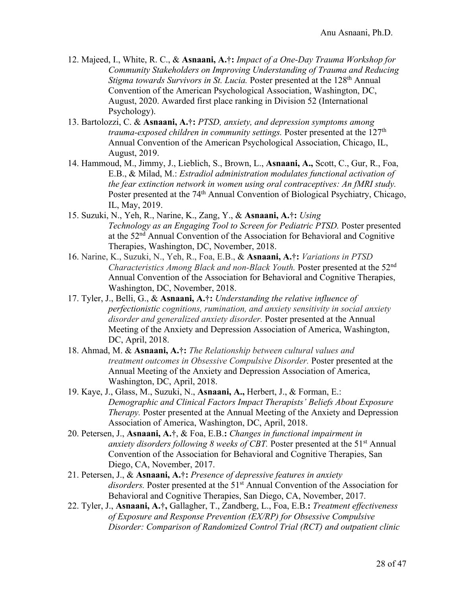- 12. Majeed, I., White, R. C., & **Asnaani, A.†:** *Impact of a One-Day Trauma Workshop for Community Stakeholders on Improving Understanding of Trauma and Reducing Stigma towards Survivors in St. Lucia.* Poster presented at the 128<sup>th</sup> Annual Convention of the American Psychological Association, Washington, DC, August, 2020. Awarded first place ranking in Division 52 (International Psychology).
- 13. Bartolozzi, C. & **Asnaani, A.†:** *PTSD, anxiety, and depression symptoms among trauma-exposed children in community settings.* Poster presented at the 127<sup>th</sup> Annual Convention of the American Psychological Association, Chicago, IL, August, 2019.
- 14. Hammoud, M., Jimmy, J., Lieblich, S., Brown, L., **Asnaani, A.,** Scott, C., Gur, R., Foa, E.B., & Milad, M.: *Estradiol administration modulates functional activation of the fear extinction network in women using oral contraceptives: An fMRI study.*  Poster presented at the 74<sup>th</sup> Annual Convention of Biological Psychiatry, Chicago, IL, May, 2019.
- 15. Suzuki, N., Yeh, R., Narine, K., Zang, Y., & **Asnaani, A.†:** *Using Technology as an Engaging Tool to Screen for Pediatric PTSD.* Poster presented at the 52nd Annual Convention of the Association for Behavioral and Cognitive Therapies, Washington, DC, November, 2018.
- 16. Narine, K., Suzuki, N., Yeh, R., Foa, E.B., & **Asnaani, A.†:** *Variations in PTSD Characteristics Among Black and non-Black Youth.* Poster presented at the 52nd Annual Convention of the Association for Behavioral and Cognitive Therapies, Washington, DC, November, 2018.
- 17. Tyler, J., Belli, G., & **Asnaani, A.†:** *Understanding the relative influence of perfectionistic cognitions, rumination, and anxiety sensitivity in social anxiety disorder and generalized anxiety disorder.* Poster presented at the Annual Meeting of the Anxiety and Depression Association of America, Washington, DC, April, 2018.
- 18. Ahmad, M. & **Asnaani, A.†:** *The Relationship between cultural values and treatment outcomes in Obsessive Compulsive Disorder.* Poster presented at the Annual Meeting of the Anxiety and Depression Association of America, Washington, DC, April, 2018.
- 19. Kaye, J., Glass, M., Suzuki, N., **Asnaani, A.,** Herbert, J., & Forman, E.: *Demographic and Clinical Factors Impact Therapists' Beliefs About Exposure Therapy.* Poster presented at the Annual Meeting of the Anxiety and Depression Association of America, Washington, DC, April, 2018.
- 20. Petersen, J., **Asnaani, A.†**, & Foa, E.B.**:** *Changes in functional impairment in anxiety disorders following 8 weeks of CBT*. Poster presented at the 51<sup>st</sup> Annual Convention of the Association for Behavioral and Cognitive Therapies, San Diego, CA, November, 2017.
- 21. Petersen, J., & **Asnaani, A.†:** *Presence of depressive features in anxiety disorders.* Poster presented at the 51<sup>st</sup> Annual Convention of the Association for Behavioral and Cognitive Therapies, San Diego, CA, November, 2017.
- 22. Tyler, J., **Asnaani, A.†,** Gallagher, T., Zandberg, L., Foa, E.B.**:** *Treatment effectiveness of Exposure and Response Prevention (EX/RP) for Obsessive Compulsive Disorder: Comparison of Randomized Control Trial (RCT) and outpatient clinic*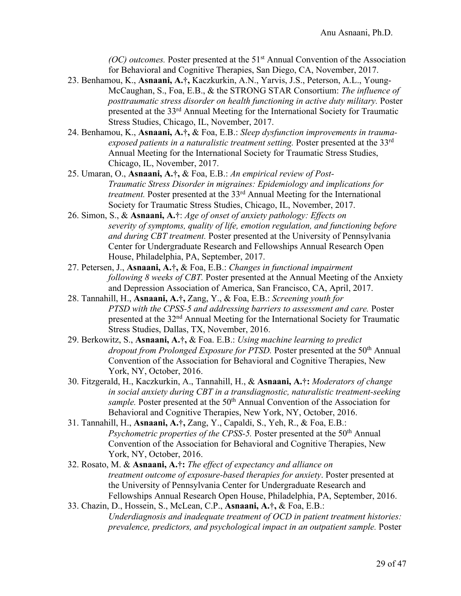*(OC) outcomes.* Poster presented at the 51<sup>st</sup> Annual Convention of the Association for Behavioral and Cognitive Therapies, San Diego, CA, November, 2017.

- 23. Benhamou, K., **Asnaani, A.†,** Kaczkurkin, A.N., Yarvis, J.S., Peterson, A.L., Young-McCaughan, S., Foa, E.B., & the STRONG STAR Consortium: *The influence of posttraumatic stress disorder on health functioning in active duty military.* Poster presented at the 33rd Annual Meeting for the International Society for Traumatic Stress Studies, Chicago, IL, November, 2017.
- 24. Benhamou, K., **Asnaani, A.†,** & Foa, E.B.: *Sleep dysfunction improvements in traumaexposed patients in a naturalistic treatment setting.* Poster presented at the 33rd Annual Meeting for the International Society for Traumatic Stress Studies, Chicago, IL, November, 2017.
- 25. Umaran, O., **Asnaani, A.†,** & Foa, E.B.: *An empirical review of Post-Traumatic Stress Disorder in migraines: Epidemiology and implications for treatment.* Poster presented at the 33rd Annual Meeting for the International Society for Traumatic Stress Studies, Chicago, IL, November, 2017.
- 26. Simon, S., & **Asnaani, A.†**: *Age of onset of anxiety pathology: Effects on severity of symptoms, quality of life, emotion regulation, and functioning before and during CBT treatment.* Poster presented at the University of Pennsylvania Center for Undergraduate Research and Fellowships Annual Research Open House, Philadelphia, PA, September, 2017.
- 27. Petersen, J., **Asnaani, A.†,** & Foa, E.B.: *Changes in functional impairment following 8 weeks of CBT.* Poster presented at the Annual Meeting of the Anxiety and Depression Association of America, San Francisco, CA, April, 2017.
- 28. Tannahill, H., **Asnaani, A.†,** Zang, Y., & Foa, E.B.: *Screening youth for PTSD with the CPSS-5 and addressing barriers to assessment and care.* Poster presented at the 32nd Annual Meeting for the International Society for Traumatic Stress Studies, Dallas, TX, November, 2016.
- 29. Berkowitz, S., **Asnaani, A.†,** & Foa. E.B.: *Using machine learning to predict*  dropout from Prolonged Exposure for PTSD. Poster presented at the 50<sup>th</sup> Annual Convention of the Association for Behavioral and Cognitive Therapies, New York, NY, October, 2016.
- 30. Fitzgerald, H., Kaczkurkin, A., Tannahill, H., & **Asnaani, A.†:** *Moderators of change in social anxiety during CBT in a transdiagnostic, naturalistic treatment-seeking sample.* Poster presented at the 50<sup>th</sup> Annual Convention of the Association for Behavioral and Cognitive Therapies, New York, NY, October, 2016.
- 31. Tannahill, H., **Asnaani, A.†,** Zang, Y., Capaldi, S., Yeh, R., & Foa, E.B.: *Psychometric properties of the CPSS-5.* Poster presented at the 50<sup>th</sup> Annual Convention of the Association for Behavioral and Cognitive Therapies, New York, NY, October, 2016.
- 32. Rosato, M. & **Asnaani, A.†:** *The effect of expectancy and alliance on treatment outcome of exposure-based therapies for anxiety*. Poster presented at the University of Pennsylvania Center for Undergraduate Research and Fellowships Annual Research Open House, Philadelphia, PA, September, 2016.
- 33. Chazin, D., Hossein, S., McLean, C.P., **Asnaani, A.†,** & Foa, E.B.: *Underdiagnosis and inadequate treatment of OCD in patient treatment histories: prevalence, predictors, and psychological impact in an outpatient sample.* Poster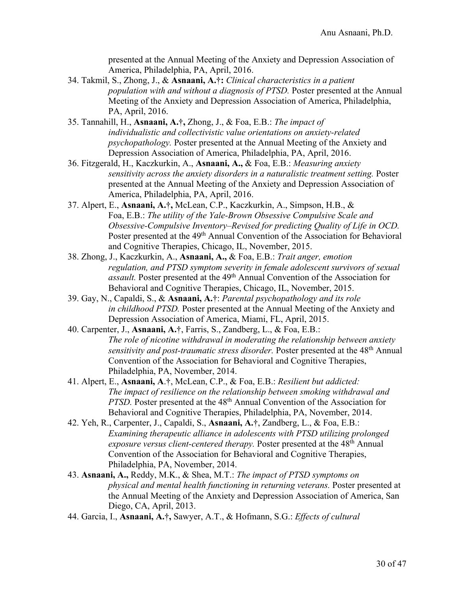presented at the Annual Meeting of the Anxiety and Depression Association of America, Philadelphia, PA, April, 2016.

- 34. Takmil, S., Zhong, J., & **Asnaani, A.†:** *Clinical characteristics in a patient population with and without a diagnosis of PTSD.* Poster presented at the Annual Meeting of the Anxiety and Depression Association of America, Philadelphia, PA, April, 2016.
- 35. Tannahill, H., **Asnaani, A.†,** Zhong, J., & Foa, E.B.: *The impact of individualistic and collectivistic value orientations on anxiety-related psychopathology.* Poster presented at the Annual Meeting of the Anxiety and Depression Association of America, Philadelphia, PA, April, 2016.
- 36. Fitzgerald, H., Kaczkurkin, A., **Asnaani, A.,** & Foa, E.B.: *Measuring anxiety sensitivity across the anxiety disorders in a naturalistic treatment setting.* Poster presented at the Annual Meeting of the Anxiety and Depression Association of America, Philadelphia, PA, April, 2016.
- 37. Alpert, E., **Asnaani, A.†,** McLean, C.P., Kaczkurkin, A., Simpson, H.B., & Foa, E.B.: *The utility of the Yale-Brown Obsessive Compulsive Scale and Obsessive-Compulsive Inventory–Revised for predicting Quality of Life in OCD.*  Poster presented at the 49<sup>th</sup> Annual Convention of the Association for Behavioral and Cognitive Therapies, Chicago, IL, November, 2015.
- 38. Zhong, J., Kaczkurkin, A., **Asnaani, A.,** & Foa, E.B.: *Trait anger, emotion regulation, and PTSD symptom severity in female adolescent survivors of sexual assault.* Poster presented at the 49<sup>th</sup> Annual Convention of the Association for Behavioral and Cognitive Therapies, Chicago, IL, November, 2015.
- 39. Gay, N., Capaldi, S., & **Asnaani, A.†**: *Parental psychopathology and its role in childhood PTSD.* Poster presented at the Annual Meeting of the Anxiety and Depression Association of America, Miami, FL, April, 2015.
- 40. Carpenter, J., **Asnaani, A.†**, Farris, S., Zandberg, L., & Foa, E.B.: *The role of nicotine withdrawal in moderating the relationship between anxiety sensitivity and post-traumatic stress disorder.* Poster presented at the 48th Annual Convention of the Association for Behavioral and Cognitive Therapies, Philadelphia, PA, November, 2014.
- 41. Alpert, E., **Asnaani, A**.**†**, McLean, C.P., & Foa, E.B.: *Resilient but addicted: The impact of resilience on the relationship between smoking withdrawal and PTSD.* Poster presented at the 48<sup>th</sup> Annual Convention of the Association for Behavioral and Cognitive Therapies, Philadelphia, PA, November, 2014.
- 42. Yeh, R., Carpenter, J., Capaldi, S., **Asnaani, A.†**, Zandberg, L., & Foa, E.B.: *Examining therapeutic alliance in adolescents with PTSD utilizing prolonged exposure versus client-centered therapy.* Poster presented at the 48th Annual Convention of the Association for Behavioral and Cognitive Therapies, Philadelphia, PA, November, 2014.
- 43. **Asnaani, A.,** Reddy, M.K., & Shea, M.T.: *The impact of PTSD symptoms on physical and mental health functioning in returning veterans.* Poster presented at the Annual Meeting of the Anxiety and Depression Association of America, San Diego, CA, April, 2013.
- 44. Garcia, I., **Asnaani, A.†,** Sawyer, A.T., & Hofmann, S.G.: *Effects of cultural*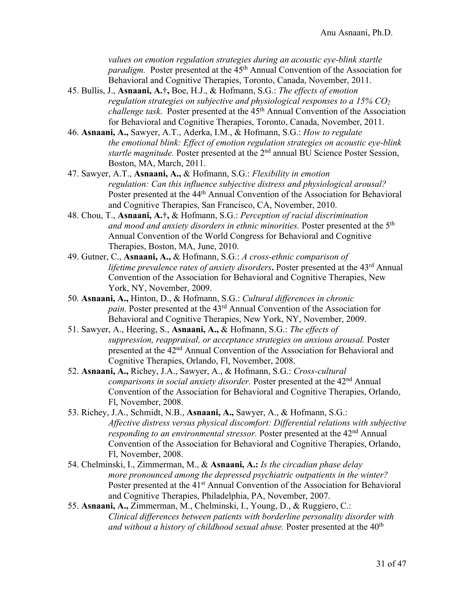*values on emotion regulation strategies during an acoustic eye-blink startle paradigm.* Poster presented at the 45<sup>th</sup> Annual Convention of the Association for Behavioral and Cognitive Therapies, Toronto, Canada, November, 2011.

- 45. Bullis, J., **Asnaani, A.†,** Boe, H.J., & Hofmann, S.G.: *The effects of emotion regulation strategies on subjective and physiological responses to a 15% CO2 challenge task.* Poster presented at the  $45<sup>th</sup>$  Annual Convention of the Association for Behavioral and Cognitive Therapies, Toronto, Canada, November, 2011.
- 46. **Asnaani, A.,** Sawyer, A.T., Aderka, I.M., & Hofmann, S.G.: *How to regulate the emotional blink: Effect of emotion regulation strategies on acoustic eye-blink startle magnitude.* Poster presented at the 2nd annual BU Science Poster Session, Boston, MA, March, 2011.
- 47. Sawyer, A.T., **Asnaani, A.,** & Hofmann, S.G.: *Flexibility in emotion regulation: Can this influence subjective distress and physiological arousal?*  Poster presented at the 44<sup>th</sup> Annual Convention of the Association for Behavioral and Cognitive Therapies, San Francisco, CA, November, 2010.
- 48. Chou, T., **Asnaani, A.†,** & Hofmann, S.G.: *Perception of racial discrimination and mood and anxiety disorders in ethnic minorities.* Poster presented at the 5th Annual Convention of the World Congress for Behavioral and Cognitive Therapies, Boston, MA, June, 2010.
- 49. Gutner, C., **Asnaani, A.,** & Hofmann, S.G.: *A cross-ethnic comparison of lifetime prevalence rates of anxiety disorders***.** Poster presented at the 43rd Annual Convention of the Association for Behavioral and Cognitive Therapies, New York, NY, November, 2009.
- 50. **Asnaani, A.,** Hinton, D., & Hofmann, S.G.: *Cultural differences in chronic pain.* Poster presented at the 43rd Annual Convention of the Association for Behavioral and Cognitive Therapies, New York, NY, November, 2009.
- 51. Sawyer, A., Heering, S., **Asnaani, A.,** & Hofmann, S.G.: *The effects of suppression, reappraisal, or acceptance strategies on anxious arousal.* Poster presented at the 42nd Annual Convention of the Association for Behavioral and Cognitive Therapies, Orlando, Fl, November, 2008.
- 52. **Asnaani, A.,** Richey, J.A., Sawyer, A., & Hofmann, S.G.: *Cross-cultural comparisons in social anxiety disorder.* Poster presented at the 42<sup>nd</sup> Annual Convention of the Association for Behavioral and Cognitive Therapies, Orlando, Fl, November, 2008.
- 53. Richey, J.A., Schmidt, N.B., **Asnaani, A.,** Sawyer, A., & Hofmann, S.G.: *Affective distress versus physical discomfort: Differential relations with subjective responding to an environmental stressor.* Poster presented at the 42<sup>nd</sup> Annual Convention of the Association for Behavioral and Cognitive Therapies, Orlando, Fl, November, 2008.
- 54. Chelminski, I., Zimmerman, M., & **Asnaani, A.:** *Is the circadian phase delay more pronounced among the depressed psychiatric outpatients in the winter?* Poster presented at the 41<sup>st</sup> Annual Convention of the Association for Behavioral and Cognitive Therapies, Philadelphia, PA, November, 2007.
- 55. **Asnaani, A.,** Zimmerman, M., Chelminski, I., Young, D., & Ruggiero, C.: *Clinical differences between patients with borderline personality disorder with and without a history of childhood sexual abuse.* Poster presented at the 40<sup>th</sup>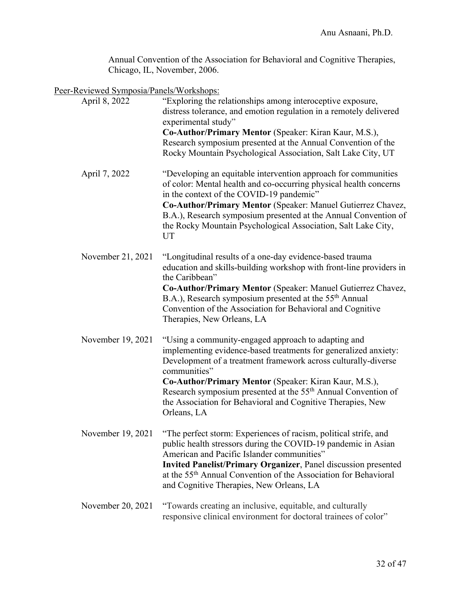Annual Convention of the Association for Behavioral and Cognitive Therapies, Chicago, IL, November, 2006.

Peer-Reviewed Symposia/Panels/Workshops:

| April 8, 2022     | "Exploring the relationships among interoceptive exposure,<br>distress tolerance, and emotion regulation in a remotely delivered<br>experimental study"<br>Co-Author/Primary Mentor (Speaker: Kiran Kaur, M.S.),<br>Research symposium presented at the Annual Convention of the<br>Rocky Mountain Psychological Association, Salt Lake City, UT                                                                             |
|-------------------|------------------------------------------------------------------------------------------------------------------------------------------------------------------------------------------------------------------------------------------------------------------------------------------------------------------------------------------------------------------------------------------------------------------------------|
| April 7, 2022     | "Developing an equitable intervention approach for communities<br>of color: Mental health and co-occurring physical health concerns<br>in the context of the COVID-19 pandemic"<br>Co-Author/Primary Mentor (Speaker: Manuel Gutierrez Chavez,<br>B.A.), Research symposium presented at the Annual Convention of<br>the Rocky Mountain Psychological Association, Salt Lake City,<br>UT                                     |
| November 21, 2021 | "Longitudinal results of a one-day evidence-based trauma<br>education and skills-building workshop with front-line providers in<br>the Caribbean"<br>Co-Author/Primary Mentor (Speaker: Manuel Gutierrez Chavez,<br>B.A.), Research symposium presented at the 55 <sup>th</sup> Annual<br>Convention of the Association for Behavioral and Cognitive<br>Therapies, New Orleans, LA                                           |
| November 19, 2021 | "Using a community-engaged approach to adapting and<br>implementing evidence-based treatments for generalized anxiety:<br>Development of a treatment framework across culturally-diverse<br>communities"<br>Co-Author/Primary Mentor (Speaker: Kiran Kaur, M.S.),<br>Research symposium presented at the 55 <sup>th</sup> Annual Convention of<br>the Association for Behavioral and Cognitive Therapies, New<br>Orleans, LA |
|                   | November 19, 2021 "The perfect storm: Experiences of racism, political strife, and<br>public health stressors during the COVID-19 pandemic in Asian<br>American and Pacific Islander communities"<br><b>Invited Panelist/Primary Organizer</b> , Panel discussion presented<br>at the 55 <sup>th</sup> Annual Convention of the Association for Behavioral<br>and Cognitive Therapies, New Orleans, LA                       |
| November 20, 2021 | "Towards creating an inclusive, equitable, and culturally<br>responsive clinical environment for doctoral trainees of color"                                                                                                                                                                                                                                                                                                 |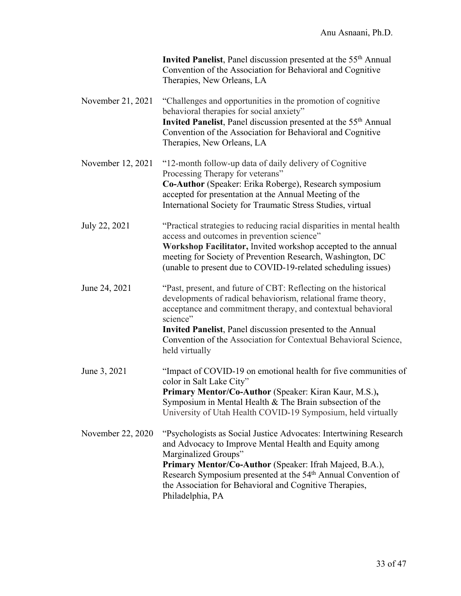|                   | Invited Panelist, Panel discussion presented at the 55 <sup>th</sup> Annual<br>Convention of the Association for Behavioral and Cognitive<br>Therapies, New Orleans, LA                                                                                                                                                                                                    |
|-------------------|----------------------------------------------------------------------------------------------------------------------------------------------------------------------------------------------------------------------------------------------------------------------------------------------------------------------------------------------------------------------------|
| November 21, 2021 | "Challenges and opportunities in the promotion of cognitive<br>behavioral therapies for social anxiety"<br>Invited Panelist, Panel discussion presented at the 55 <sup>th</sup> Annual<br>Convention of the Association for Behavioral and Cognitive<br>Therapies, New Orleans, LA                                                                                         |
| November 12, 2021 | "12-month follow-up data of daily delivery of Cognitive<br>Processing Therapy for veterans"<br>Co-Author (Speaker: Erika Roberge), Research symposium<br>accepted for presentation at the Annual Meeting of the<br>International Society for Traumatic Stress Studies, virtual                                                                                             |
| July 22, 2021     | "Practical strategies to reducing racial disparities in mental health<br>access and outcomes in prevention science"<br>Workshop Facilitator, Invited workshop accepted to the annual<br>meeting for Society of Prevention Research, Washington, DC<br>(unable to present due to COVID-19-related scheduling issues)                                                        |
| June 24, 2021     | "Past, present, and future of CBT: Reflecting on the historical<br>developments of radical behaviorism, relational frame theory,<br>acceptance and commitment therapy, and contextual behavioral<br>science"<br>Invited Panelist, Panel discussion presented to the Annual<br>Convention of the Association for Contextual Behavioral Science,<br>held virtually           |
| June 3, 2021      | "Impact of COVID-19 on emotional health for five communities of<br>color in Salt Lake City"<br>Primary Mentor/Co-Author (Speaker: Kiran Kaur, M.S.),<br>Symposium in Mental Health $&$ The Brain subsection of the<br>University of Utah Health COVID-19 Symposium, held virtually                                                                                         |
| November 22, 2020 | "Psychologists as Social Justice Advocates: Intertwining Research<br>and Advocacy to Improve Mental Health and Equity among<br>Marginalized Groups"<br>Primary Mentor/Co-Author (Speaker: Ifrah Majeed, B.A.),<br>Research Symposium presented at the 54 <sup>th</sup> Annual Convention of<br>the Association for Behavioral and Cognitive Therapies,<br>Philadelphia, PA |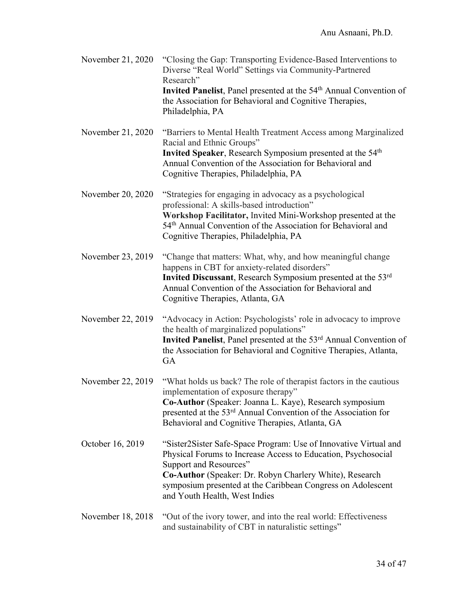| November 21, 2020 | "Closing the Gap: Transporting Evidence-Based Interventions to<br>Diverse "Real World" Settings via Community-Partnered<br>Research"<br>Invited Panelist, Panel presented at the 54 <sup>th</sup> Annual Convention of<br>the Association for Behavioral and Cognitive Therapies,                                      |
|-------------------|------------------------------------------------------------------------------------------------------------------------------------------------------------------------------------------------------------------------------------------------------------------------------------------------------------------------|
| November 21, 2020 | Philadelphia, PA<br>"Barriers to Mental Health Treatment Access among Marginalized<br>Racial and Ethnic Groups"<br>Invited Speaker, Research Symposium presented at the 54 <sup>th</sup><br>Annual Convention of the Association for Behavioral and<br>Cognitive Therapies, Philadelphia, PA                           |
| November 20, 2020 | "Strategies for engaging in advocacy as a psychological<br>professional: A skills-based introduction"<br>Workshop Facilitator, Invited Mini-Workshop presented at the<br>54 <sup>th</sup> Annual Convention of the Association for Behavioral and<br>Cognitive Therapies, Philadelphia, PA                             |
| November 23, 2019 | "Change that matters: What, why, and how meaningful change<br>happens in CBT for anxiety-related disorders"<br>Invited Discussant, Research Symposium presented at the 53rd<br>Annual Convention of the Association for Behavioral and<br>Cognitive Therapies, Atlanta, GA                                             |
| November 22, 2019 | "Advocacy in Action: Psychologists' role in advocacy to improve<br>the health of marginalized populations"<br>Invited Panelist, Panel presented at the 53 <sup>rd</sup> Annual Convention of<br>the Association for Behavioral and Cognitive Therapies, Atlanta,<br>GA                                                 |
| November 22, 2019 | "What holds us back? The role of therapist factors in the cautious<br>implementation of exposure therapy"<br>Co-Author (Speaker: Joanna L. Kaye), Research symposium<br>presented at the 53 <sup>rd</sup> Annual Convention of the Association for<br>Behavioral and Cognitive Therapies, Atlanta, GA                  |
| October 16, 2019  | "Sister2Sister Safe-Space Program: Use of Innovative Virtual and<br>Physical Forums to Increase Access to Education, Psychosocial<br>Support and Resources"<br>Co-Author (Speaker: Dr. Robyn Charlery White), Research<br>symposium presented at the Caribbean Congress on Adolescent<br>and Youth Health, West Indies |
| November 18, 2018 | "Out of the ivory tower, and into the real world: Effectiveness<br>and sustainability of CBT in naturalistic settings"                                                                                                                                                                                                 |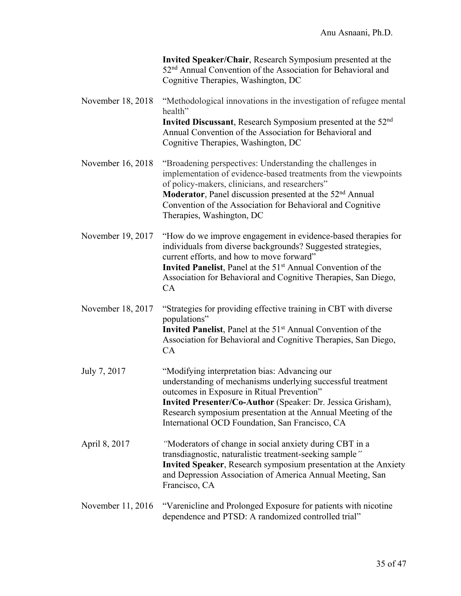|                   | Invited Speaker/Chair, Research Symposium presented at the<br>52 <sup>nd</sup> Annual Convention of the Association for Behavioral and<br>Cognitive Therapies, Washington, DC                                                                                                                                                                     |
|-------------------|---------------------------------------------------------------------------------------------------------------------------------------------------------------------------------------------------------------------------------------------------------------------------------------------------------------------------------------------------|
| November 18, 2018 | "Methodological innovations in the investigation of refugee mental<br>health"                                                                                                                                                                                                                                                                     |
|                   | Invited Discussant, Research Symposium presented at the 52 <sup>nd</sup><br>Annual Convention of the Association for Behavioral and<br>Cognitive Therapies, Washington, DC                                                                                                                                                                        |
| November 16, 2018 | "Broadening perspectives: Understanding the challenges in<br>implementation of evidence-based treatments from the viewpoints<br>of policy-makers, clinicians, and researchers"<br>Moderator, Panel discussion presented at the 52 <sup>nd</sup> Annual<br>Convention of the Association for Behavioral and Cognitive<br>Therapies, Washington, DC |
| November 19, 2017 | "How do we improve engagement in evidence-based therapies for<br>individuals from diverse backgrounds? Suggested strategies,<br>current efforts, and how to move forward"<br>Invited Panelist, Panel at the 51 <sup>st</sup> Annual Convention of the<br>Association for Behavioral and Cognitive Therapies, San Diego,<br>CA                     |
| November 18, 2017 | "Strategies for providing effective training in CBT with diverse<br>populations"<br>Invited Panelist, Panel at the 51 <sup>st</sup> Annual Convention of the<br>Association for Behavioral and Cognitive Therapies, San Diego,<br>CA                                                                                                              |
| July 7, 2017      | "Modifying interpretation bias: Advancing our<br>understanding of mechanisms underlying successful treatment<br>outcomes in Exposure in Ritual Prevention"<br>Invited Presenter/Co-Author (Speaker: Dr. Jessica Grisham),<br>Research symposium presentation at the Annual Meeting of the<br>International OCD Foundation, San Francisco, CA      |
| April 8, 2017     | "Moderators of change in social anxiety during CBT in a<br>transdiagnostic, naturalistic treatment-seeking sample"<br><b>Invited Speaker</b> , Research symposium presentation at the Anxiety<br>and Depression Association of America Annual Meeting, San<br>Francisco, CA                                                                       |
| November 11, 2016 | "Varenicline and Prolonged Exposure for patients with nicotine<br>dependence and PTSD: A randomized controlled trial"                                                                                                                                                                                                                             |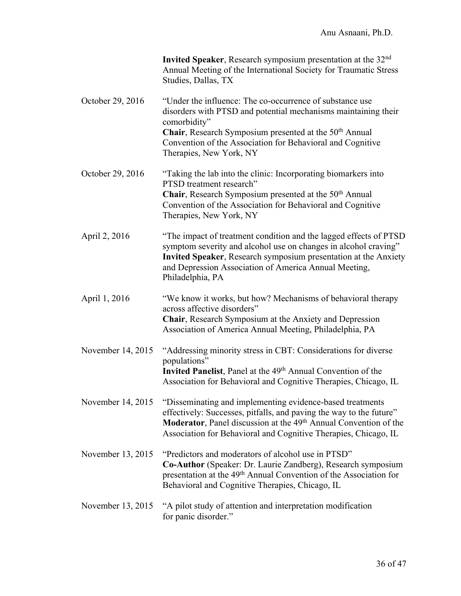|                   | Invited Speaker, Research symposium presentation at the 32 <sup>nd</sup><br>Annual Meeting of the International Society for Traumatic Stress<br>Studies, Dallas, TX                                                                                                                  |
|-------------------|--------------------------------------------------------------------------------------------------------------------------------------------------------------------------------------------------------------------------------------------------------------------------------------|
| October 29, 2016  | "Under the influence: The co-occurrence of substance use<br>disorders with PTSD and potential mechanisms maintaining their<br>comorbidity"<br>Chair, Research Symposium presented at the 50 <sup>th</sup> Annual<br>Convention of the Association for Behavioral and Cognitive       |
|                   | Therapies, New York, NY                                                                                                                                                                                                                                                              |
| October 29, 2016  | "Taking the lab into the clinic: Incorporating biomarkers into<br>PTSD treatment research"<br>Chair, Research Symposium presented at the 50 <sup>th</sup> Annual<br>Convention of the Association for Behavioral and Cognitive<br>Therapies, New York, NY                            |
| April 2, 2016     | "The impact of treatment condition and the lagged effects of PTSD<br>symptom severity and alcohol use on changes in alcohol craving"<br>Invited Speaker, Research symposium presentation at the Anxiety<br>and Depression Association of America Annual Meeting,<br>Philadelphia, PA |
| April 1, 2016     | "We know it works, but how? Mechanisms of behavioral therapy<br>across affective disorders"<br>Chair, Research Symposium at the Anxiety and Depression<br>Association of America Annual Meeting, Philadelphia, PA                                                                    |
| November 14, 2015 | "Addressing minority stress in CBT: Considerations for diverse<br>populations"<br>Invited Panelist, Panel at the 49 <sup>th</sup> Annual Convention of the<br>Association for Behavioral and Cognitive Therapies, Chicago, IL                                                        |
| November 14, 2015 | "Disseminating and implementing evidence-based treatments<br>effectively: Successes, pitfalls, and paving the way to the future"<br>Moderator, Panel discussion at the 49 <sup>th</sup> Annual Convention of the<br>Association for Behavioral and Cognitive Therapies, Chicago, IL  |
| November 13, 2015 | "Predictors and moderators of alcohol use in PTSD"<br>Co-Author (Speaker: Dr. Laurie Zandberg), Research symposium<br>presentation at the 49 <sup>th</sup> Annual Convention of the Association for<br>Behavioral and Cognitive Therapies, Chicago, IL                               |
| November 13, 2015 | "A pilot study of attention and interpretation modification<br>for panic disorder."                                                                                                                                                                                                  |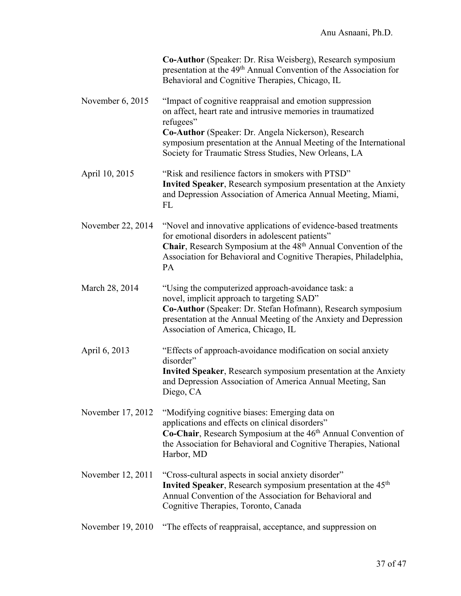|                    | Co-Author (Speaker: Dr. Risa Weisberg), Research symposium<br>presentation at the 49 <sup>th</sup> Annual Convention of the Association for<br>Behavioral and Cognitive Therapies, Chicago, IL                                                                              |
|--------------------|-----------------------------------------------------------------------------------------------------------------------------------------------------------------------------------------------------------------------------------------------------------------------------|
| November $6, 2015$ | "Impact of cognitive reappraisal and emotion suppression<br>on affect, heart rate and intrusive memories in traumatized<br>refugees"<br>Co-Author (Speaker: Dr. Angela Nickerson), Research                                                                                 |
|                    | symposium presentation at the Annual Meeting of the International<br>Society for Traumatic Stress Studies, New Orleans, LA                                                                                                                                                  |
| April 10, 2015     | "Risk and resilience factors in smokers with PTSD"<br>Invited Speaker, Research symposium presentation at the Anxiety<br>and Depression Association of America Annual Meeting, Miami,<br>FL                                                                                 |
| November 22, 2014  | "Novel and innovative applications of evidence-based treatments<br>for emotional disorders in adolescent patients"<br>Chair, Research Symposium at the 48 <sup>th</sup> Annual Convention of the<br>Association for Behavioral and Cognitive Therapies, Philadelphia,<br>PA |
| March 28, 2014     | "Using the computerized approach-avoidance task: a<br>novel, implicit approach to targeting SAD"<br>Co-Author (Speaker: Dr. Stefan Hofmann), Research symposium<br>presentation at the Annual Meeting of the Anxiety and Depression<br>Association of America, Chicago, IL  |
| April 6, 2013      | "Effects of approach-avoidance modification on social anxiety<br>disorder"<br>Invited Speaker, Research symposium presentation at the Anxiety<br>and Depression Association of America Annual Meeting, San<br>Diego, CA                                                     |
| November 17, 2012  | "Modifying cognitive biases: Emerging data on<br>applications and effects on clinical disorders"<br>Co-Chair, Research Symposium at the 46 <sup>th</sup> Annual Convention of<br>the Association for Behavioral and Cognitive Therapies, National<br>Harbor, MD             |
| November 12, 2011  | "Cross-cultural aspects in social anxiety disorder"<br><b>Invited Speaker, Research symposium presentation at the 45th</b><br>Annual Convention of the Association for Behavioral and<br>Cognitive Therapies, Toronto, Canada                                               |
| November 19, 2010  | "The effects of reappraisal, acceptance, and suppression on                                                                                                                                                                                                                 |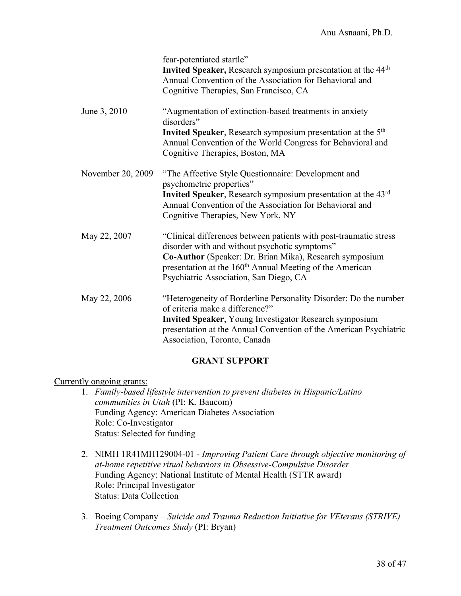|                   | fear-potentiated startle"<br>Invited Speaker, Research symposium presentation at the 44 <sup>th</sup><br>Annual Convention of the Association for Behavioral and<br>Cognitive Therapies, San Francisco, CA                                                                                      |
|-------------------|-------------------------------------------------------------------------------------------------------------------------------------------------------------------------------------------------------------------------------------------------------------------------------------------------|
| June 3, 2010      | "Augmentation of extinction-based treatments in anxiety<br>disorders"<br>Invited Speaker, Research symposium presentation at the 5 <sup>th</sup><br>Annual Convention of the World Congress for Behavioral and<br>Cognitive Therapies, Boston, MA                                               |
| November 20, 2009 | "The Affective Style Questionnaire: Development and<br>psychometric properties"<br>Invited Speaker, Research symposium presentation at the 43rd<br>Annual Convention of the Association for Behavioral and<br>Cognitive Therapies, New York, NY                                                 |
| May 22, 2007      | "Clinical differences between patients with post-traumatic stress<br>disorder with and without psychotic symptoms"<br>Co-Author (Speaker: Dr. Brian Mika), Research symposium<br>presentation at the 160 <sup>th</sup> Annual Meeting of the American<br>Psychiatric Association, San Diego, CA |
| May 22, 2006      | "Heterogeneity of Borderline Personality Disorder: Do the number<br>of criteria make a difference?"<br><b>Invited Speaker, Young Investigator Research symposium</b><br>presentation at the Annual Convention of the American Psychiatric<br>Association, Toronto, Canada                       |

## **GRANT SUPPORT**

Currently ongoing grants:

- 1. *Family-based lifestyle intervention to prevent diabetes in Hispanic/Latino communities in Utah* (PI: K. Baucom) Funding Agency: American Diabetes Association Role: Co-Investigator Status: Selected for funding
- 2. NIMH 1R41MH129004-01 *Improving Patient Care through objective monitoring of at-home repetitive ritual behaviors in Obsessive-Compulsive Disorder*  Funding Agency: National Institute of Mental Health (STTR award) Role: Principal Investigator Status: Data Collection
- 3. Boeing Company *Suicide and Trauma Reduction Initiative for VEterans (STRIVE) Treatment Outcomes Study* (PI: Bryan)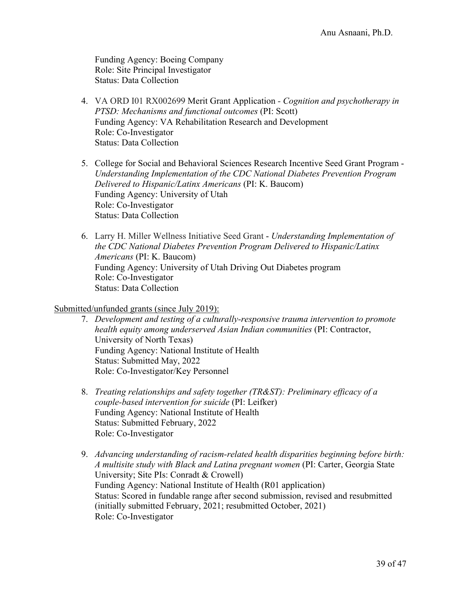Funding Agency: Boeing Company Role: Site Principal Investigator Status: Data Collection

- 4. VA ORD I01 RX002699 Merit Grant Application *- Cognition and psychotherapy in PTSD: Mechanisms and functional outcomes* (PI: Scott) Funding Agency: VA Rehabilitation Research and Development Role: Co-Investigator Status: Data Collection
- 5. College for Social and Behavioral Sciences Research Incentive Seed Grant Program *Understanding Implementation of the CDC National Diabetes Prevention Program Delivered to Hispanic/Latinx Americans* (PI: K. Baucom) Funding Agency: University of Utah Role: Co-Investigator Status: Data Collection
- 6. Larry H. Miller Wellness Initiative Seed Grant *Understanding Implementation of the CDC National Diabetes Prevention Program Delivered to Hispanic/Latinx Americans* (PI: K. Baucom) Funding Agency: University of Utah Driving Out Diabetes program Role: Co-Investigator Status: Data Collection

## Submitted/unfunded grants (since July 2019):

- 7. *Development and testing of a culturally-responsive trauma intervention to promote health equity among underserved Asian Indian communities* (PI: Contractor, University of North Texas) Funding Agency: National Institute of Health Status: Submitted May, 2022 Role: Co-Investigator/Key Personnel
- 8. *Treating relationships and safety together (TR&ST): Preliminary efficacy of a couple-based intervention for suicide* (PI: Leifker) Funding Agency: National Institute of Health Status: Submitted February, 2022 Role: Co-Investigator
- 9. *Advancing understanding of racism-related health disparities beginning before birth: A multisite study with Black and Latina pregnant women* (PI: Carter, Georgia State University; Site PIs: Conradt & Crowell) Funding Agency: National Institute of Health (R01 application) Status: Scored in fundable range after second submission, revised and resubmitted (initially submitted February, 2021; resubmitted October, 2021) Role: Co-Investigator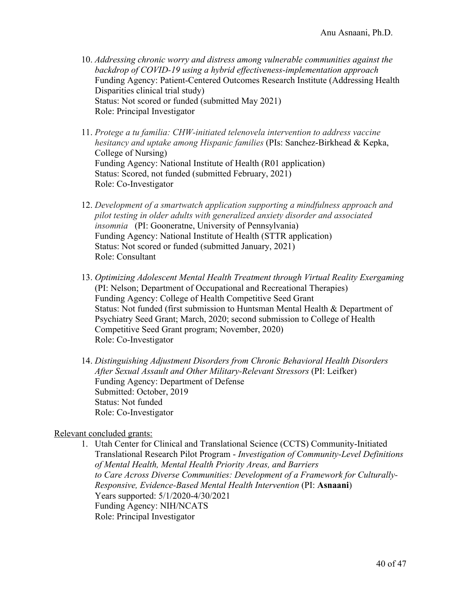- 10. *Addressing chronic worry and distress among vulnerable communities against the backdrop of COVID-19 using a hybrid effectiveness-implementation approach* Funding Agency: Patient-Centered Outcomes Research Institute (Addressing Health Disparities clinical trial study) Status: Not scored or funded (submitted May 2021) Role: Principal Investigator
- 11. *Protege a tu familia: CHW-initiated telenovela intervention to address vaccine hesitancy and uptake among Hispanic families* (PIs: Sanchez-Birkhead & Kepka, College of Nursing) Funding Agency: National Institute of Health (R01 application) Status: Scored, not funded (submitted February, 2021) Role: Co-Investigator
- 12. *Development of a smartwatch application supporting a mindfulness approach and pilot testing in older adults with generalized anxiety disorder and associated insomnia* (PI: Gooneratne, University of Pennsylvania) Funding Agency: National Institute of Health (STTR application) Status: Not scored or funded (submitted January, 2021) Role: Consultant
- 13. *Optimizing Adolescent Mental Health Treatment through Virtual Reality Exergaming* (PI: Nelson; Department of Occupational and Recreational Therapies) Funding Agency: College of Health Competitive Seed Grant Status: Not funded (first submission to Huntsman Mental Health & Department of Psychiatry Seed Grant; March, 2020; second submission to College of Health Competitive Seed Grant program; November, 2020) Role: Co-Investigator
- 14. *Distinguishing Adjustment Disorders from Chronic Behavioral Health Disorders After Sexual Assault and Other Military-Relevant Stressors* (PI: Leifker) Funding Agency: Department of Defense Submitted: October, 2019 Status: Not funded Role: Co-Investigator

## Relevant concluded grants:

1. Utah Center for Clinical and Translational Science (CCTS) Community-Initiated Translational Research Pilot Program - *Investigation of Community-Level Definitions of Mental Health, Mental Health Priority Areas, and Barriers to Care Across Diverse Communities: Development of a Framework for Culturally-Responsive, Evidence-Based Mental Health Intervention* (PI: **Asnaani**) Years supported: 5/1/2020-4/30/2021 Funding Agency: NIH/NCATS Role: Principal Investigator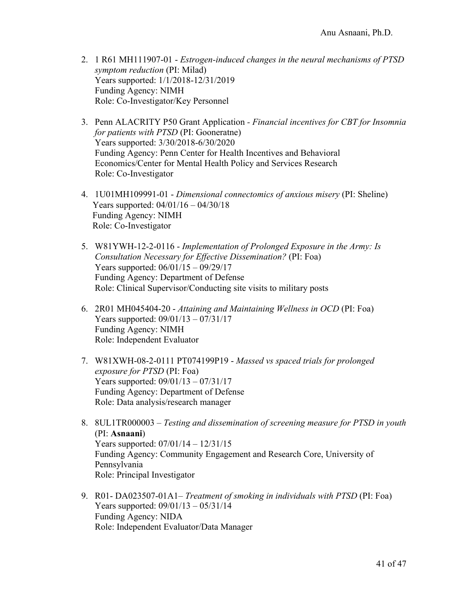- 2. 1 R61 MH111907-01 *Estrogen-induced changes in the neural mechanisms of PTSD symptom reduction* (PI: Milad) Years supported: 1/1/2018-12/31/2019 Funding Agency: NIMH Role: Co-Investigator/Key Personnel
- 3. Penn ALACRITY P50 Grant Application *- Financial incentives for CBT for Insomnia for patients with PTSD* (PI: Gooneratne) Years supported: 3/30/2018-6/30/2020 Funding Agency: Penn Center for Health Incentives and Behavioral Economics/Center for Mental Health Policy and Services Research Role: Co-Investigator
- 4. 1U01MH109991-01 *Dimensional connectomics of anxious misery* (PI: Sheline) Years supported: 04/01/16 – 04/30/18 Funding Agency: NIMH Role: Co-Investigator
- 5. W81YWH-12-2-0116 *Implementation of Prolonged Exposure in the Army: Is Consultation Necessary for Effective Dissemination?* (PI: Foa) Years supported: 06/01/15 – 09/29/17 Funding Agency: Department of Defense Role: Clinical Supervisor/Conducting site visits to military posts
- 6. 2R01 MH045404-20 *Attaining and Maintaining Wellness in OCD* (PI: Foa) Years supported: 09/01/13 – 07/31/17 Funding Agency: NIMH Role: Independent Evaluator
- 7. W81XWH-08-2-0111 PT074199P19 *Massed vs spaced trials for prolonged exposure for PTSD* (PI: Foa) Years supported: 09/01/13 – 07/31/17 Funding Agency: Department of Defense Role: Data analysis/research manager
- 8. 8UL1TR000003 *Testing and dissemination of screening measure for PTSD in youth*  (PI: **Asnaani**) Years supported: 07/01/14 – 12/31/15 Funding Agency: Community Engagement and Research Core, University of Pennsylvania Role: Principal Investigator
- 9. R01- DA023507-01A1– *Treatment of smoking in individuals with PTSD* (PI: Foa) Years supported: 09/01/13 – 05/31/14 Funding Agency: NIDA Role: Independent Evaluator/Data Manager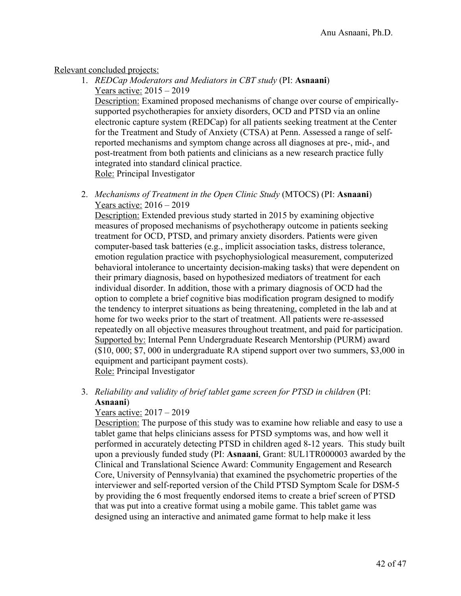## Relevant concluded projects:

1. *REDCap Moderators and Mediators in CBT study* (PI: **Asnaani**) Years active: 2015 – 2019

Description: Examined proposed mechanisms of change over course of empiricallysupported psychotherapies for anxiety disorders, OCD and PTSD via an online electronic capture system (REDCap) for all patients seeking treatment at the Center for the Treatment and Study of Anxiety (CTSA) at Penn. Assessed a range of selfreported mechanisms and symptom change across all diagnoses at pre-, mid-, and post-treatment from both patients and clinicians as a new research practice fully integrated into standard clinical practice. Role: Principal Investigator

2. *Mechanisms of Treatment in the Open Clinic Study* (MTOCS) (PI: **Asnaani**) Years active: 2016 – 2019

Description: Extended previous study started in 2015 by examining objective measures of proposed mechanisms of psychotherapy outcome in patients seeking treatment for OCD, PTSD, and primary anxiety disorders. Patients were given computer-based task batteries (e.g., implicit association tasks, distress tolerance, emotion regulation practice with psychophysiological measurement, computerized behavioral intolerance to uncertainty decision-making tasks) that were dependent on their primary diagnosis, based on hypothesized mediators of treatment for each individual disorder. In addition, those with a primary diagnosis of OCD had the option to complete a brief cognitive bias modification program designed to modify the tendency to interpret situations as being threatening, completed in the lab and at home for two weeks prior to the start of treatment. All patients were re-assessed repeatedly on all objective measures throughout treatment, and paid for participation. Supported by: Internal Penn Undergraduate Research Mentorship (PURM) award (\$10, 000; \$7, 000 in undergraduate RA stipend support over two summers, \$3,000 in equipment and participant payment costs).

Role: Principal Investigator

3. *Reliability and validity of brief tablet game screen for PTSD in children* (PI: **Asnaani**)

## Years active: 2017 – 2019

Description: The purpose of this study was to examine how reliable and easy to use a tablet game that helps clinicians assess for PTSD symptoms was, and how well it performed in accurately detecting PTSD in children aged 8-12 years. This study built upon a previously funded study (PI: **Asnaani**, Grant: 8UL1TR000003 awarded by the Clinical and Translational Science Award: Community Engagement and Research Core, University of Pennsylvania) that examined the psychometric properties of the interviewer and self-reported version of the Child PTSD Symptom Scale for DSM-5 by providing the 6 most frequently endorsed items to create a brief screen of PTSD that was put into a creative format using a mobile game. This tablet game was designed using an interactive and animated game format to help make it less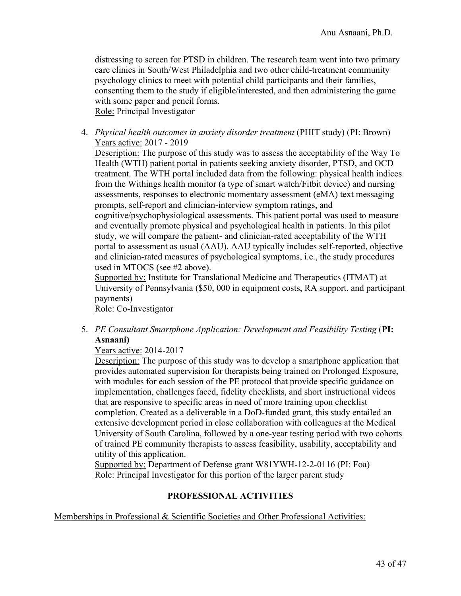distressing to screen for PTSD in children. The research team went into two primary care clinics in South/West Philadelphia and two other child-treatment community psychology clinics to meet with potential child participants and their families, consenting them to the study if eligible/interested, and then administering the game with some paper and pencil forms.

Role: Principal Investigator

4. *Physical health outcomes in anxiety disorder treatment* (PHIT study) (PI: Brown) Years active: 2017 - 2019

Description: The purpose of this study was to assess the acceptability of the Way To Health (WTH) patient portal in patients seeking anxiety disorder, PTSD, and OCD treatment. The WTH portal included data from the following: physical health indices from the Withings health monitor (a type of smart watch/Fitbit device) and nursing assessments, responses to electronic momentary assessment (eMA) text messaging prompts, self-report and clinician-interview symptom ratings, and cognitive/psychophysiological assessments. This patient portal was used to measure and eventually promote physical and psychological health in patients. In this pilot study, we will compare the patient- and clinician-rated acceptability of the WTH portal to assessment as usual (AAU). AAU typically includes self-reported, objective and clinician-rated measures of psychological symptoms, i.e., the study procedures used in MTOCS (see #2 above).

Supported by: Institute for Translational Medicine and Therapeutics (ITMAT) at University of Pennsylvania (\$50, 000 in equipment costs, RA support, and participant payments)

Role: Co-Investigator

5. *PE Consultant Smartphone Application: Development and Feasibility Testing* (**PI: Asnaani)**

Years active: 2014-2017

Description: The purpose of this study was to develop a smartphone application that provides automated supervision for therapists being trained on Prolonged Exposure, with modules for each session of the PE protocol that provide specific guidance on implementation, challenges faced, fidelity checklists, and short instructional videos that are responsive to specific areas in need of more training upon checklist completion. Created as a deliverable in a DoD-funded grant, this study entailed an extensive development period in close collaboration with colleagues at the Medical University of South Carolina, followed by a one-year testing period with two cohorts of trained PE community therapists to assess feasibility, usability, acceptability and utility of this application.

Supported by: Department of Defense grant W81YWH-12-2-0116 (PI: Foa) Role: Principal Investigator for this portion of the larger parent study

## **PROFESSIONAL ACTIVITIES**

Memberships in Professional & Scientific Societies and Other Professional Activities: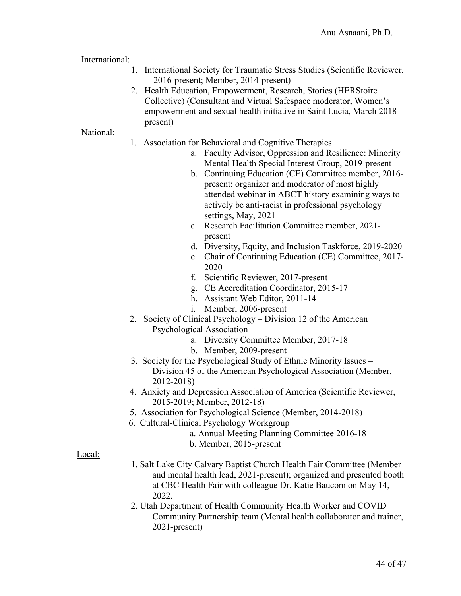International:

- 1. International Society for Traumatic Stress Studies (Scientific Reviewer, 2016-present; Member, 2014-present)
- 2. Health Education, Empowerment, Research, Stories (HERStoire Collective) (Consultant and Virtual Safespace moderator, Women's empowerment and sexual health initiative in Saint Lucia, March 2018 – present)

### National:

- 1. Association for Behavioral and Cognitive Therapies
	- a. Faculty Advisor, Oppression and Resilience: Minority Mental Health Special Interest Group, 2019-present
	- b. Continuing Education (CE) Committee member, 2016 present; organizer and moderator of most highly attended webinar in ABCT history examining ways to actively be anti-racist in professional psychology settings, May, 2021
	- c. Research Facilitation Committee member, 2021 present
	- d. Diversity, Equity, and Inclusion Taskforce, 2019-2020
	- e. Chair of Continuing Education (CE) Committee, 2017- 2020
	- f. Scientific Reviewer, 2017-present
	- g. CE Accreditation Coordinator, 2015-17
	- h. Assistant Web Editor, 2011-14
	- i. Member, 2006-present
- 2. Society of Clinical Psychology Division 12 of the American Psychological Association
	- a. Diversity Committee Member, 2017-18
	- b. Member, 2009-present
- 3. Society for the Psychological Study of Ethnic Minority Issues Division 45 of the American Psychological Association (Member, 2012-2018)
- 4. Anxiety and Depression Association of America (Scientific Reviewer, 2015-2019; Member, 2012-18)
- 5. Association for Psychological Science (Member, 2014-2018)
- 6. Cultural-Clinical Psychology Workgroup
	- a. Annual Meeting Planning Committee 2016-18
	- b. Member, 2015-present

## Local:

- 1. Salt Lake City Calvary Baptist Church Health Fair Committee (Member and mental health lead, 2021-present); organized and presented booth at CBC Health Fair with colleague Dr. Katie Baucom on May 14, 2022.
- 2. Utah Department of Health Community Health Worker and COVID Community Partnership team (Mental health collaborator and trainer, 2021-present)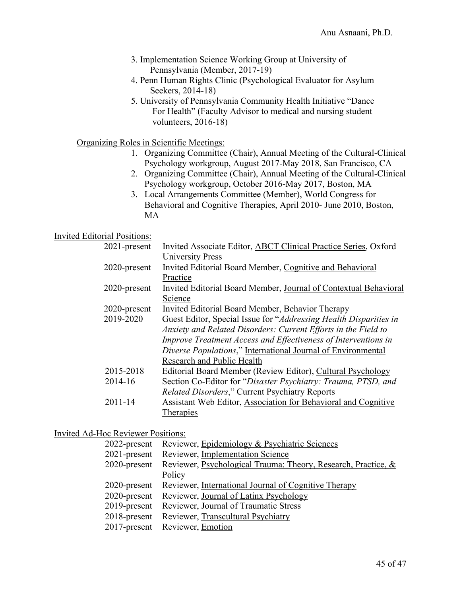- 3. Implementation Science Working Group at University of Pennsylvania (Member, 2017-19)
- 4. Penn Human Rights Clinic (Psychological Evaluator for Asylum Seekers, 2014-18)
- 5. University of Pennsylvania Community Health Initiative "Dance For Health" (Faculty Advisor to medical and nursing student volunteers, 2016-18)

Organizing Roles in Scientific Meetings:

- 1. Organizing Committee (Chair), Annual Meeting of the Cultural-Clinical Psychology workgroup, August 2017-May 2018, San Francisco, CA
- 2. Organizing Committee (Chair), Annual Meeting of the Cultural-Clinical Psychology workgroup, October 2016-May 2017, Boston, MA
- 3. Local Arrangements Committee (Member), World Congress for Behavioral and Cognitive Therapies, April 2010- June 2010, Boston, MA

### Invited Editorial Positions:

| $2021$ -present | Invited Associate Editor, <b>ABCT Clinical Practice Series</b> , Oxford                                                          |
|-----------------|----------------------------------------------------------------------------------------------------------------------------------|
| 2020-present    | <b>University Press</b><br>Invited Editorial Board Member, Cognitive and Behavioral                                              |
|                 | Practice                                                                                                                         |
| 2020-present    | Invited Editorial Board Member, Journal of Contextual Behavioral<br>Science                                                      |
| 2020-present    | Invited Editorial Board Member, Behavior Therapy                                                                                 |
| 2019-2020       | Guest Editor, Special Issue for "Addressing Health Disparities in                                                                |
|                 | Anxiety and Related Disorders: Current Efforts in the Field to<br>Improve Treatment Access and Effectiveness of Interventions in |
|                 | Diverse Populations," International Journal of Environmental                                                                     |
|                 | Research and Public Health                                                                                                       |
| 2015-2018       | Editorial Board Member (Review Editor), Cultural Psychology                                                                      |
| 2014-16         | Section Co-Editor for "Disaster Psychiatry: Trauma, PTSD, and                                                                    |
|                 | <b>Related Disorders," Current Psychiatry Reports</b>                                                                            |
| $2011 - 14$     | Assistant Web Editor, Association for Behavioral and Cognitive                                                                   |
|                 | <b>Therapies</b>                                                                                                                 |

Invited Ad-Hoc Reviewer Positions:

|                 | 2022-present Reviewer, Epidemiology & Psychiatric Sciences                 |
|-----------------|----------------------------------------------------------------------------|
|                 | 2021-present Reviewer, Implementation Science                              |
|                 | 2020-present Reviewer, Psychological Trauma: Theory, Research, Practice, & |
|                 | Policy                                                                     |
|                 | 2020-present Reviewer, International Journal of Cognitive Therapy          |
|                 | 2020-present Reviewer, Journal of Latinx Psychology                        |
| $2019$ -present | Reviewer, Journal of Traumatic Stress                                      |
|                 | 2018-present Reviewer, Transcultural Psychiatry                            |
|                 | 2017-present Reviewer, Emotion                                             |
|                 |                                                                            |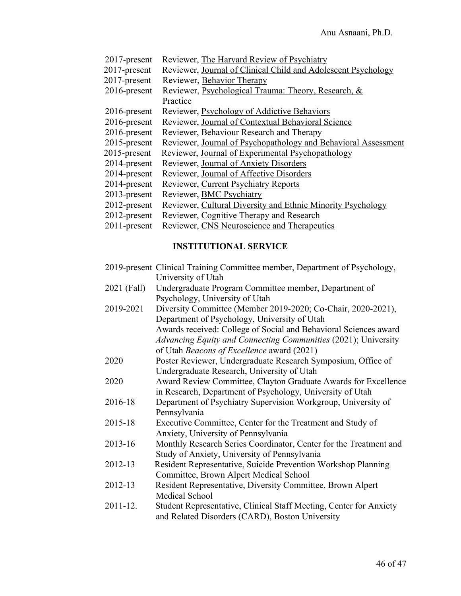- 2017-present Reviewer, The Harvard Review of Psychiatry
- 2017-present Reviewer, Journal of Clinical Child and Adolescent Psychology
- 2017-present Reviewer, Behavior Therapy
- 2016-present Reviewer, Psychological Trauma: Theory, Research, & Practice
- 2016-present Reviewer, Psychology of Addictive Behaviors
- 2016-present Reviewer, Journal of Contextual Behavioral Science
- 2016-present Reviewer, Behaviour Research and Therapy
- 2015-present Reviewer, Journal of Psychopathology and Behavioral Assessment
- 2015-present Reviewer, Journal of Experimental Psychopathology
- 2014-present Reviewer, Journal of Anxiety Disorders
- 2014-present Reviewer, Journal of Affective Disorders
- 2014-present Reviewer, Current Psychiatry Reports
- 2013-present Reviewer, BMC Psychiatry
- 2012-present Reviewer, Cultural Diversity and Ethnic Minority Psychology
- 2012-present Reviewer, Cognitive Therapy and Research
- 2011-present Reviewer, CNS Neuroscience and Therapeutics

### **INSTITUTIONAL SERVICE**

- 2019-present Clinical Training Committee member, Department of Psychology, University of Utah
- 2021 (Fall) Undergraduate Program Committee member, Department of Psychology, University of Utah
- 2019-2021 Diversity Committee (Member 2019-2020; Co-Chair, 2020-2021), Department of Psychology, University of Utah Awards received: College of Social and Behavioral Sciences award *Advancing Equity and Connecting Communities* (2021); University of Utah *Beacons of Excellence* award (2021)
- 2020 Poster Reviewer, Undergraduate Research Symposium, Office of Undergraduate Research, University of Utah
- 2020 Award Review Committee, Clayton Graduate Awards for Excellence in Research, Department of Psychology, University of Utah
- 2016-18 Department of Psychiatry Supervision Workgroup, University of Pennsylvania
- 2015-18 Executive Committee, Center for the Treatment and Study of Anxiety, University of Pennsylvania
- 2013-16 Monthly Research Series Coordinator, Center for the Treatment and Study of Anxiety, University of Pennsylvania
- 2012-13 Resident Representative, Suicide Prevention Workshop Planning Committee, Brown Alpert Medical School
- 2012-13 Resident Representative, Diversity Committee, Brown Alpert Medical School
- 2011-12. Student Representative, Clinical Staff Meeting, Center for Anxiety and Related Disorders (CARD), Boston University